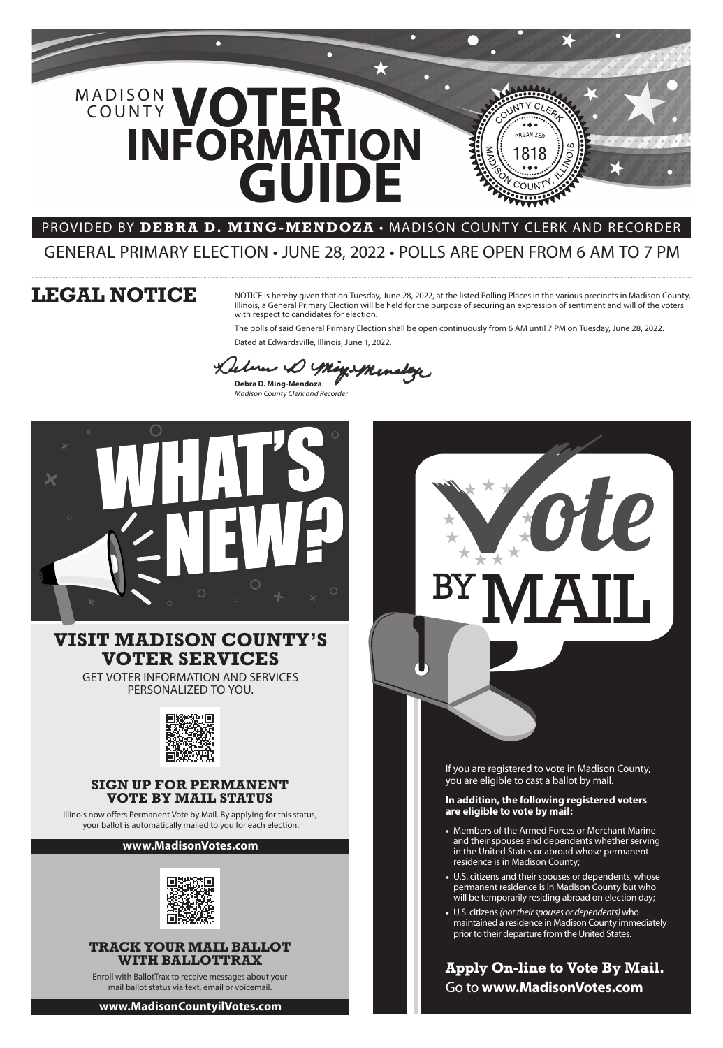

### **In addition, the following registered voters are eligible to vote by mail:**

- Members of the Armed Forces or Merchant Marine and their spouses and dependents whether serving in the United States or abroad whose permanent residence is in Madison County;
- U.S. citizens and their spouses or dependents, whose permanent residence is in Madison County but who will be temporarily residing abroad on election day;
- U.S. citizens *(not their spouses or dependents)* who maintained a residence in Madison County immediately prior to their departure from the United States.

**Apply On-line to Vote By Mail.** Go to **www.MadisonVotes.com**

# **SIGN UP FOR PERMANENT**

## **VOTE BY MAIL STATUS**

Illinois now offers Permanent Vote by Mail. By applying for this status, your ballot is automatically mailed to you for each election.

رحمه منعفه **Debra D. Ming-Mendoza**

## **TRACK YOUR MAIL BALLOT WITH BALLOTTRAX**

Enroll with BallotTrax to receive messages about your mail ballot status via text, email or voicemail.

# **VISIT MADISON COUNTY'S VOTER SERVICES**

GET VOTER INFORMATION AND SERVICES PERSONALIZED TO YOU.



### **www.MadisonVotes.com**



**www.MadisonCountyilVotes.com**

NOTICE is hereby given that on Tuesday, June 28, 2022, at the listed Polling Places in the various precincts in Madison County, Illinois, a General Primary Election will be held for the purpose of securing an expression of sentiment and will of the voters with respect to candidates for election.

OBGANIZE

The polls of said General Primary Election shall be open continuously from 6 AM until 7 PM on Tuesday, June 28, 2022. Dated at Edwardsville, Illinois, June 1, 2022.

*Madison County Clerk and Recorder*



# **LEGAL NOTICE**

# **INFORMATION** MADISON VOTER **GUIDE** COUNTY

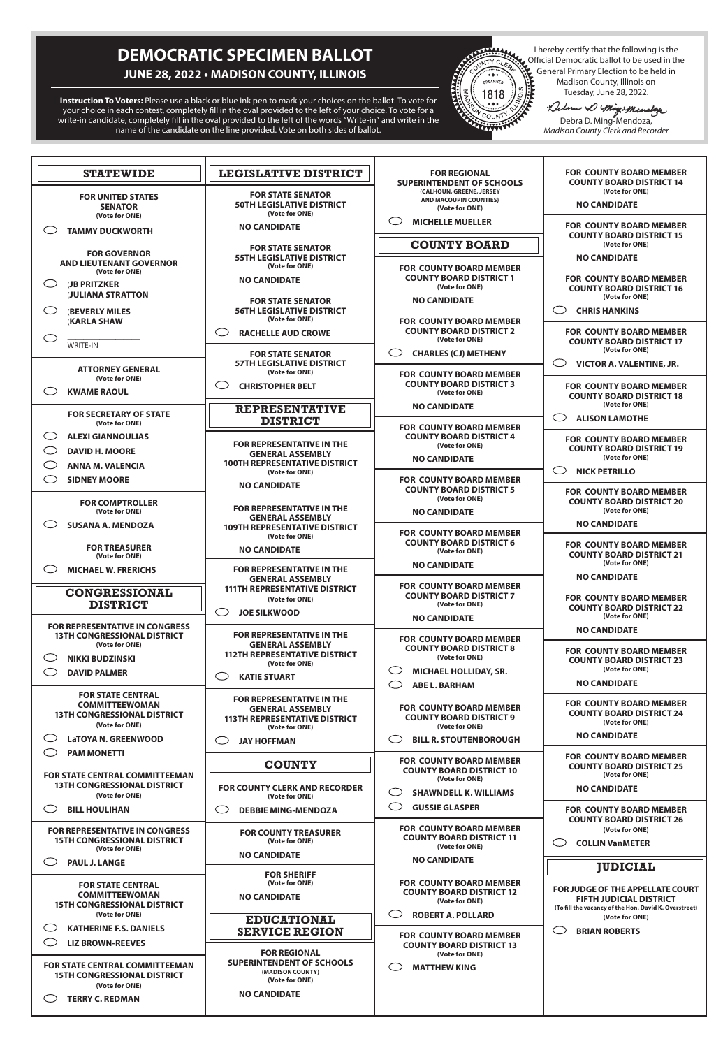# **DEMOCRATIC SPECIMEN BALLOT JUNE 28, 2022 • MADISON COUNTY, ILLINOIS**

**Instruction To Voters:** Please use a black or blue ink pen to mark your choices on the ballot. To vote for your choice in each contest, completely fill in the oval provided to the left of your choice. To vote for a write-in candidate, completely fill in the oval provided to the left of the words "Write-in" and write in the name of the candidate on the line provided. Vote on both sides of ballot.



I hereby certify that the following is the<br>
I contract ball of the used in the<br> *A* Ceneral Primary Election to be held in<br> *Madison County, Illinois on*<br>
Tuesday, June 28, 2022.<br> *Luce V Might Mander* Official Democratic ballot to be used in the General Primary Election to be held in Madison County, Illinois on

Tuesday, June 28, 2022.<br>Lebum D'Migis Menstage

Debra D. Ming-Mendoza, *Madison County Clerk and Recorder*

| <b>LEGISLATIVE DISTRICT</b><br><b>STATEWIDE</b>                                                              |                                                                                                                       | <b>FOR REGIONAL</b><br><b>SUPERINTENDENT OF SCHOOLS</b>                                                   | <b>FOR COUNTY BOARD MEMBER</b><br><b>COUNTY BOARD DISTRICT 14</b>                   |  |
|--------------------------------------------------------------------------------------------------------------|-----------------------------------------------------------------------------------------------------------------------|-----------------------------------------------------------------------------------------------------------|-------------------------------------------------------------------------------------|--|
| <b>FOR UNITED STATES</b><br><b>SENATOR</b><br>(Vote for ONE)                                                 | <b>FOR STATE SENATOR</b><br><b>50TH LEGISLATIVE DISTRICT</b><br>(Vote for ONE)                                        | (CALHOUN, GREENE, JERSEY<br>AND MACOUPIN COUNTIES)<br>(Vote for ONE)                                      | (Vote for ONE)<br><b>NO CANDIDATE</b>                                               |  |
| $\bigcirc$<br><b>TAMMY DUCKWORTH</b>                                                                         | <b>NO CANDIDATE</b>                                                                                                   | C .<br><b>MICHELLE MUELLER</b>                                                                            | <b>FOR COUNTY BOARD MEMBER</b><br><b>COUNTY BOARD DISTRICT 15</b>                   |  |
| <b>FOR GOVERNOR</b><br><b>AND LIEUTENANT GOVERNOR</b>                                                        | <b>FOR STATE SENATOR</b><br><b>55TH LEGISLATIVE DISTRICT</b>                                                          | <b>COUNTY BOARD</b>                                                                                       | (Vote for ONE)<br><b>NO CANDIDATE</b>                                               |  |
| (Vote for ONE)<br>$\bigcirc$<br><b>(JB PRITZKER</b>                                                          | (Vote for ONE)<br><b>NO CANDIDATE</b>                                                                                 | <b>FOR COUNTY BOARD MEMBER</b><br><b>COUNTY BOARD DISTRICT 1</b><br>(Vote for ONE)                        | <b>FOR COUNTY BOARD MEMBER</b><br><b>COUNTY BOARD DISTRICT 16</b>                   |  |
| <b>JULIANA STRATTON</b><br>C)<br><b>(BEVERLY MILES)</b>                                                      | <b>FOR STATE SENATOR</b><br><b>56TH LEGISLATIVE DISTRICT</b>                                                          | <b>NO CANDIDATE</b>                                                                                       | (Vote for ONE)<br><b>CHRIS HANKINS</b>                                              |  |
| <b>(KARLA SHAW</b><br>$\bigcirc$                                                                             | (Vote for ONE)<br><b>RACHELLE AUD CROWE</b><br>.<br>.                                                                 | <b>FOR COUNTY BOARD MEMBER</b><br><b>COUNTY BOARD DISTRICT 2</b><br>(Vote for ONE)                        | <b>FOR COUNTY BOARD MEMBER</b><br><b>COUNTY BOARD DISTRICT 17</b>                   |  |
| WRITE-IN                                                                                                     | <b>FOR STATE SENATOR</b><br><b>57TH LEGISLATIVE DISTRICT</b>                                                          | ( )<br><b>CHARLES (CJ) METHENY</b>                                                                        | (Vote for ONE)<br><b>VICTOR A. VALENTINE, JR.</b>                                   |  |
| <b>ATTORNEY GENERAL</b><br>(Vote for ONE)<br>$\subset$<br><b>KWAME RAOUL</b>                                 | (Vote for ONE)<br><b>CHRISTOPHER BELT</b><br>.<br>.                                                                   | <b>FOR COUNTY BOARD MEMBER</b><br><b>COUNTY BOARD DISTRICT 3</b><br>(Vote for ONE)                        | <b>FOR COUNTY BOARD MEMBER</b><br><b>COUNTY BOARD DISTRICT 18</b>                   |  |
| <b>FOR SECRETARY OF STATE</b><br>(Vote for ONE)                                                              | <b>REPRESENTATIVE</b><br><b>DISTRICT</b>                                                                              | <b>NO CANDIDATE</b>                                                                                       | (Vote for ONE)<br><b>ALISON LAMOTHE</b>                                             |  |
| $\subset$<br><b>ALEXI GIANNOULIAS</b><br>$\bigcirc$<br><b>DAVID H. MOORE</b><br>O<br><b>ANNA M. VALENCIA</b> | <b>FOR REPRESENTATIVE IN THE</b><br><b>GENERAL ASSEMBLY</b><br><b>100TH REPRESENTATIVE DISTRICT</b>                   | <b>FOR COUNTY BOARD MEMBER</b><br><b>COUNTY BOARD DISTRICT 4</b><br>(Vote for ONE)<br><b>NO CANDIDATE</b> | <b>FOR COUNTY BOARD MEMBER</b><br><b>COUNTY BOARD DISTRICT 19</b><br>(Vote for ONE) |  |
| $\bigcirc$<br><b>SIDNEY MOORE</b>                                                                            | (Vote for ONE)<br><b>NO CANDIDATE</b>                                                                                 | <b>FOR COUNTY BOARD MEMBER</b><br><b>COUNTY BOARD DISTRICT 5</b>                                          | <b>NICK PETRILLO</b>                                                                |  |
| <b>FOR COMPTROLLER</b><br>(Vote for ONE)                                                                     | <b>FOR REPRESENTATIVE IN THE</b><br><b>GENERAL ASSEMBLY</b>                                                           | (Vote for ONE)<br><b>NO CANDIDATE</b>                                                                     | <b>FOR COUNTY BOARD MEMBER</b><br><b>COUNTY BOARD DISTRICT 20</b><br>(Vote for ONE) |  |
| O<br><b>SUSANA A. MENDOZA</b>                                                                                | <b>109TH REPRESENTATIVE DISTRICT</b><br>(Vote for ONE)                                                                | <b>FOR COUNTY BOARD MEMBER</b><br><b>COUNTY BOARD DISTRICT 6</b>                                          | <b>NO CANDIDATE</b>                                                                 |  |
| <b>FOR TREASURER</b><br>(Vote for ONE)<br>$\bigcirc$<br><b>MICHAEL W. FRERICHS</b>                           | <b>NO CANDIDATE</b><br><b>FOR REPRESENTATIVE IN THE</b>                                                               | (Vote for ONE)<br><b>NO CANDIDATE</b>                                                                     | <b>FOR COUNTY BOARD MEMBER</b><br><b>COUNTY BOARD DISTRICT 21</b><br>(Vote for ONE) |  |
| <b>CONGRESSIONAL</b>                                                                                         | <b>GENERAL ASSEMBLY</b><br><b>111TH REPRESENTATIVE DISTRICT</b>                                                       | <b>FOR COUNTY BOARD MEMBER</b>                                                                            | <b>NO CANDIDATE</b>                                                                 |  |
| <b>DISTRICT</b>                                                                                              | (Vote for ONE)<br><b>JOE SILKWOOD</b><br>こつ                                                                           | <b>COUNTY BOARD DISTRICT 7</b><br>(Vote for ONE)<br><b>NO CANDIDATE</b>                                   | <b>FOR COUNTY BOARD MEMBER</b><br><b>COUNTY BOARD DISTRICT 22</b><br>(Vote for ONE) |  |
| <b>FOR REPRESENTATIVE IN CONGRESS</b><br><b>13TH CONGRESSIONAL DISTRICT</b><br>(Vote for ONE)                | <b>FOR REPRESENTATIVE IN THE</b><br><b>GENERAL ASSEMBLY</b>                                                           | <b>FOR COUNTY BOARD MEMBER</b>                                                                            | <b>NO CANDIDATE</b>                                                                 |  |
| C<br><b>NIKKI BUDZINSKI</b>                                                                                  | <b>112TH REPRESENTATIVE DISTRICT</b><br>(Vote for ONE)                                                                | <b>COUNTY BOARD DISTRICT 8</b><br>(Vote for ONE)<br>C)<br><b>MICHAEL HOLLIDAY, SR.</b>                    | <b>FOR COUNTY BOARD MEMBER</b><br><b>COUNTY BOARD DISTRICT 23</b><br>(Vote for ONE) |  |
| $\bigcirc$<br><b>DAVID PALMER</b><br><b>KATIE STUART</b><br>( )                                              |                                                                                                                       | O<br><b>ABE L. BARHAM</b>                                                                                 | <b>NO CANDIDATE</b>                                                                 |  |
| <b>FOR STATE CENTRAL</b><br><b>COMMITTEEWOMAN</b><br><b>13TH CONGRESSIONAL DISTRICT</b><br>(Vote for ONE)    | <b>FOR REPRESENTATIVE IN THE</b><br><b>GENERAL ASSEMBLY</b><br><b>113TH REPRESENTATIVE DISTRICT</b><br>(Vote for ONE) | <b>FOR COUNTY BOARD MEMBER</b><br><b>COUNTY BOARD DISTRICT 9</b><br>(Vote for ONE)                        | <b>FOR COUNTY BOARD MEMBER</b><br><b>COUNTY BOARD DISTRICT 24</b><br>(Vote for ONE) |  |
| C)<br><b>LaTOYA N. GREENWOOD</b><br>$\bigcirc$                                                               | <b>JAY HOFFMAN</b>                                                                                                    | ( )<br><b>BILL R. STOUTENBOROUGH</b>                                                                      | <b>NO CANDIDATE</b>                                                                 |  |
| <b>PAM MONETTI</b><br><b>FOR STATE CENTRAL COMMITTEEMAN</b>                                                  | <b>COUNTY</b>                                                                                                         | <b>FOR COUNTY BOARD MEMBER</b><br><b>COUNTY BOARD DISTRICT 10</b><br>(Vote for ONE)                       | <b>FOR COUNTY BOARD MEMBER</b><br><b>COUNTY BOARD DISTRICT 25</b><br>(Vote for ONE) |  |
| <b>13TH CONGRESSIONAL DISTRICT</b><br>(Vote for ONE)                                                         | <b>FOR COUNTY CLERK AND RECORDER</b><br>$(Under OMF))$                                                                | C)<br><b>SHAWNDELL K. WILLIAMS</b>                                                                        | <b>NO CANDIDATE</b>                                                                 |  |

| (Vote for ONE)                                                                                                        | (Vote for ONE)                                                                                                                                                            | SHAWNDELL N. WILLIAMS                                                                                                                                                                |                                                                                                                                                                                        |
|-----------------------------------------------------------------------------------------------------------------------|---------------------------------------------------------------------------------------------------------------------------------------------------------------------------|--------------------------------------------------------------------------------------------------------------------------------------------------------------------------------------|----------------------------------------------------------------------------------------------------------------------------------------------------------------------------------------|
| <b>BILL HOULIHAN</b>                                                                                                  | <b>DEBBIE MING-MENDOZA</b>                                                                                                                                                | <b>GUSSIE GLASPER</b>                                                                                                                                                                | <b>FOR COUNTY BOARD MEMBER</b><br><b>COUNTY BOARD DISTRICT 26</b>                                                                                                                      |
| <b>FOR REPRESENTATIVE IN CONGRESS</b><br><b>15TH CONGRESSIONAL DISTRICT</b><br>(Vote for ONE)<br><b>PAUL J. LANGE</b> | <b>FOR COUNTY TREASURER</b><br>(Vote for ONE)<br><b>NO CANDIDATE</b><br><b>FOR SHERIFF</b>                                                                                | <b>FOR COUNTY BOARD MEMBER</b><br><b>COUNTY BOARD DISTRICT 11</b><br>(Vote for ONE)<br><b>NO CANDIDATE</b>                                                                           | (Vote for ONE)<br>C I<br><b>COLLIN VanMETER</b><br><b>JUDICIAL</b>                                                                                                                     |
| <b>FOR STATE CENTRAL</b><br><b>COMMITTEEWOMAN</b><br><b>15TH CONGRESSIONAL DISTRICT</b>                               | (Vote for ONE)<br><b>NO CANDIDATE</b>                                                                                                                                     | <b>FOR COUNTY BOARD MEMBER</b><br><b>COUNTY BOARD DISTRICT 12</b><br>(Vote for ONE)<br><b>ROBERT A. POLLARD</b><br><b>FOR COUNTY BOARD MEMBER</b><br><b>COUNTY BOARD DISTRICT 13</b> | FOR JUDGE OF THE APPELLATE COURT<br><b>FIFTH JUDICIAL DISTRICT</b><br>(To fill the vacancy of the Hon. David K. Overstreet)<br>(Vote for ONE)<br><b>BRIAN ROBERTS</b><br>$\mathcal{L}$ |
| (Vote for ONE)<br><b>KATHERINE F.S. DANIELS</b>                                                                       | <b>EDUCATIONAL</b><br><b>SERVICE REGION</b>                                                                                                                               |                                                                                                                                                                                      |                                                                                                                                                                                        |
| <b>FOR STATE CENTRAL COMMITTEEMAN</b><br><b>15TH CONGRESSIONAL DISTRICT</b><br>(Vote for ONE)                         | <b>LIZ BROWN-REEVES</b><br><b>FOR REGIONAL</b><br><b>SUPERINTENDENT OF SCHOOLS</b><br>(MADISON COUNTY)<br>(Vote for ONE)<br><b>NO CANDIDATE</b><br><b>TERRY C. REDMAN</b> |                                                                                                                                                                                      |                                                                                                                                                                                        |
|                                                                                                                       |                                                                                                                                                                           |                                                                                                                                                                                      |                                                                                                                                                                                        |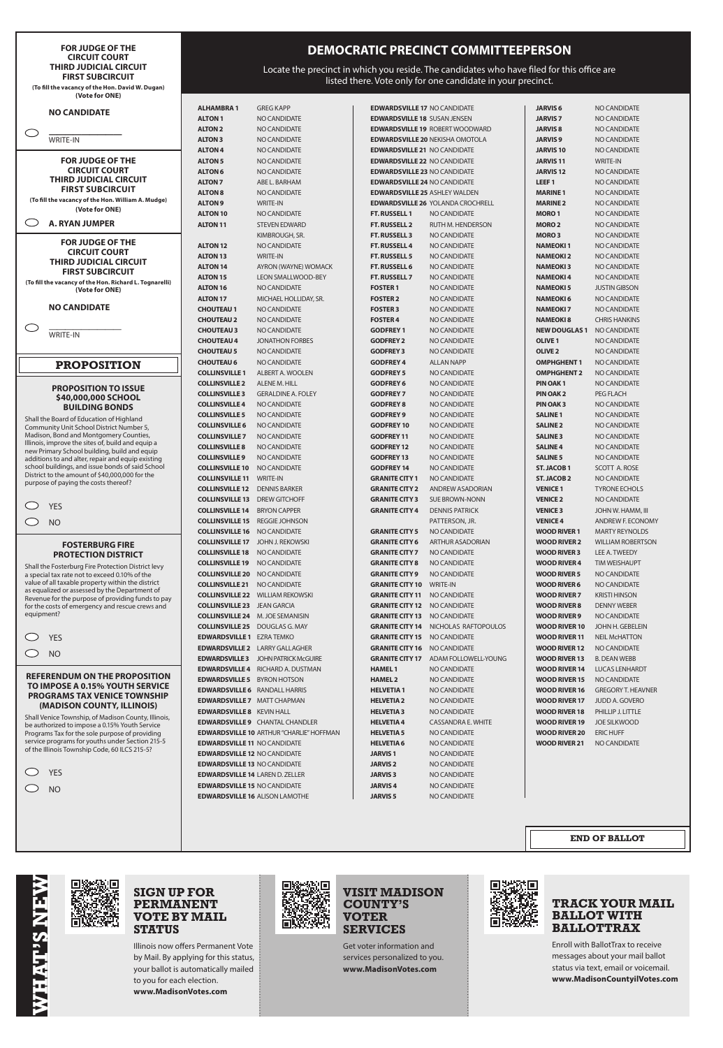#### **FOR JUDGE OF THE CIRCUIT COURT THIRD JUDICIAL CIRCUIT FIRST SUBCIRCUIT (To fill the vacancy of the Hon. David W. Dugan) (Vote for ONE)**

#### **NO CANDIDATE**

**—————————** WRITE-IN

 $\bigcirc$ 

 $\bigcirc$ **A. RYAN JUMPER**

**FOR JUDGE OF THE CIRCUIT COURT THIRD JUDICIAL CIRCUIT FIRST SUBCIRCUIT (To fill the vacancy of the Hon. William A. Mudge)**

**(Vote for ONE)**

**FOR JUDGE OF THE CIRCUIT COURT THIRD JUDICIAL CIRCUIT FIRST SUBCIRCUIT (To fill the vacancy of the Hon. Richard L. Tognarelli)**

**(Vote for ONE)**

**NO CANDIDATE**

————————— WRITE-IN

### **PROPOSITION**

#### **PROPOSITION TO ISSUE \$40,000,000 SCHOOL BUILDING BONDS**

Shall the Board of Education of Highland Community Unit School District Number 5, Madison, Bond and Montgomery Counties, Illinois, improve the sites of, build and equip a new Primary School building, build and equip additions to and alter, repair and equip existing school buildings, and issue bonds of said School District to the amount of \$40,000,000 for the purpose of paying the costs thereof?

| YFS |
|-----|
| NΟ  |

#### **FOSTERBURG FIRE PROTECTION DISTRICT**

Shall the Fosterburg Fire Protection District levy a special tax rate not to exceed 0.10% of the value of all taxable property within the district as equalized or assessed by the Department of Revenue for the purpose of providing funds to pay for the costs of emergency and rescue crews and equipment?

| YFS |
|-----|
| NO. |

**REFERENDUM ON THE PROPOSITION TO IMPOSE A 0.15% YOUTH SERVICE PROGRAMS TAX VENICE TOWNSHIP (MADISON COUNTY, ILLINOIS)**

Shall Venice Township, of Madison County, Illinois, be authorized to impose a 0.15% Youth Service Programs Tax for the sole purpose of providing service programs for youths under Section 215-5 of the Illinois Township Code, 60 ILCS 215-5?

| YFS |
|-----|
| NΟ  |

## **DEMOCRATIC PRECINCT COMMITTEEPERSON**

Locate the precinct in which you reside. The candidates who have filed for this office are listed there. Vote only for one candidate in your precinct.

| ALHAMBRA 1                             | GREG KAPP                                       |
|----------------------------------------|-------------------------------------------------|
| ALTON 1                                | NO CANDIDATE                                    |
| <b>ALTON 2</b>                         | NO CANDIDATE                                    |
| <b>ALTON 3</b>                         | NO CANDIDATE                                    |
| <b>ALTON 4</b>                         | NO CANDIDATE                                    |
| ALTON 5                                | NO CANDIDATE                                    |
| ALTON 6                                | NO CANDIDATE                                    |
| <b>ALTON 7</b>                         | ABE L. BARHAM                                   |
| <b>ALTON 8</b>                         | NO CANDIDATE                                    |
| <b>ALTON 9</b>                         | WRITE-IN                                        |
| <b>ALTON 10</b>                        | NO CANDIDATE                                    |
| <b>ALTON 11</b>                        | <b>STEVEN EDWARD</b>                            |
|                                        | KIMBROUGH, SR.                                  |
| ALTON 12                               | NO CANDIDATE                                    |
|                                        |                                                 |
| ALTON 13                               | <b>WRITE-IN</b>                                 |
| ALTON 14                               | AYRON (WAYNE) WOMACK                            |
| ALTON 15                               | <b>LEON SMALLWOOD-BEY</b>                       |
| ALTON 16                               | NO CANDIDATE                                    |
| ALTON 17                               | MICHAEL HOLLIDAY, SR.                           |
| <b>CHOUTEAU 1</b>                      | NO CANDIDATE                                    |
| <b>CHOUTEAU 2</b>                      | NO CANDIDATE                                    |
| <b>CHOUTEAU 3</b>                      | NO CANDIDATE                                    |
| <b>CHOUTEAU 4</b>                      | <b>JONATHON FORBES</b>                          |
| <b>CHOUTEAU 5</b>                      | NO CANDIDATE                                    |
| <b>CHOUTEAU 6</b>                      | NO CANDIDATE                                    |
| <b>COLLINSVILLE 1</b>                  | ALBERT A. WOOLEN                                |
| <b>COLLINSVILLE 2</b>                  | ALENE M. HILL                                   |
| <b>COLLINSVILLE 3</b>                  | <b>GERALDINE A. FOLEY</b>                       |
| <b>COLLINSVILLE 4</b>                  | NO CANDIDATE                                    |
| <b>COLLINSVILLE 5</b>                  | NO CANDIDATE                                    |
| <b>COLLINSVILLE 6</b>                  | NO CANDIDATE                                    |
| <b>COLLINSVILLE 7</b>                  | NO CANDIDATE                                    |
| <b>COLLINSVILLE 8</b>                  | NO CANDIDATE                                    |
| <b>COLLINSVILLE 9</b>                  | NO CANDIDATE                                    |
| <b>COLLINSVILLE 10</b>                 | NO CANDIDATE                                    |
| <b>COLLINSVILLE 11</b>                 |                                                 |
|                                        | WRITE-IN                                        |
| <b>COLLINSVILLE 12 DENNIS BARKER</b>   |                                                 |
| <b>COLLINSVILLE 13</b>                 | DREW GITCHOFF                                   |
| <b>COLLINSVILLE 14 BRYON CAPPER</b>    |                                                 |
| <b>COLLINSVILLE 15</b>                 | <b>REGGIE JOHNSON</b>                           |
| <b>COLLINSVILLE 16</b>                 | NO CANDIDATE                                    |
| <b>COLLINSVILLE 17</b>                 | <b>JOHN J. REKOWSKI</b>                         |
| <b>COLLINSVILLE 18</b>                 | NO CANDIDATE                                    |
| <b>COLLINSVILLE 19</b>                 | NO CANDIDATE                                    |
| <b>COLLINSVILLE 20</b>                 | <b>NO CANDIDATE</b>                             |
| <b>COLLINSVILLE 21</b>                 | <b>NO CANDIDATE</b>                             |
| <b>COLLINSVILLE 22</b>                 | <b>WILLIAM REKOWSKI</b>                         |
| <b>COLLINSVILLE 23</b>                 | <b>JEAN GARCIA</b>                              |
| <b>COLLINSVILLE 24</b>                 | M. JOE SEMANISIN                                |
| <b>COLLINSVILLE 25</b>                 | DOUGLAS G. MAY                                  |
| <b>EDWARDSVILLE 1</b>                  | EZRA TEMKO                                      |
| <b>EDWARDSVILLE 2</b>                  | <b>LARRY GALLAGHER</b>                          |
| <b>EDWARDSVILLE 3</b>                  | <b>JOHN PATRICK McGUIRE</b>                     |
| <b>EDWARDSVILLE 4</b>                  | RICHARD A. DUSTMAN                              |
| <b>EDWARDSVILLE 5</b>                  | <b>BYRON HOTSON</b>                             |
| <b>EDWARDSVILLE6</b> RANDALL HARRIS    |                                                 |
|                                        |                                                 |
| <b>EDWARDSVILLE 7 MATT CHAPMAN</b>     |                                                 |
| <b>EDWARDSVILLE 8</b> KEVIN HALL       |                                                 |
|                                        | <b>EDWARDSVILLE 9 CHANTAL CHANDLER</b>          |
|                                        | <b>EDWARDSVILLE 10 ARTHUR "CHARLIE" HOFFMAN</b> |
| <b>EDWARDSVILLE 11 NO CANDIDATE</b>    |                                                 |
| <b>EDWARDSVILLE 12 NO CANDIDATE</b>    |                                                 |
| <b>EDWARDSVILLE 13 NO CANDIDATE</b>    |                                                 |
| <b>EDWARDSVILLE 14 LAREN D. ZELLER</b> |                                                 |
| <b>EDWARDSVILLE 15 NO CANDIDATE</b>    |                                                 |

**JARVIS 6** NO CANDIDATE **JARVIS 7** NO CANDIDATE **JARVIS 8** NO CANDIDATE **JARVIS 9** NO CANDIDATE **JARVIS 10** NO CANDIDATE **JARVIS 11** WRITE-IN **JARVIS 12** NO CANDIDATE **LEEF 1** NO CANDIDATE **MARINE 1** NO CANDIDATE **MARINE 2** NO CANDIDATE **MORO 1** NO CANDIDATE **MORO 2** NO CANDIDATE **MORO 3** NO CANDIDATE **NAMEOKI 1** NO CANDIDATE **NAMEOKI 2** NO CANDIDATE **NAMEOKI 3** NO CANDIDATE **NAMEOKI 4** NO CANDIDATE **NAMEOKI 5** JUSTIN GIBSON **NAMEOKI 6** NO CANDIDATE **NAMEOKI 7** NO CANDIDATE **NAMEOKI 8** CHRIS HANKINS **NEW DOUGLAS 1** NO CANDIDATE **OLIVE 1** NO CANDIDATE **OLIVE 2** NO CANDIDATE **OMPHGHENT 1** NO CANDIDATE **OMPHGHENT 2** NO CANDIDATE **PIN OAK 1** NO CANDIDATE **PIN OAK 2** PEG FLACH **PIN OAK 3** NO CANDIDATE **SALINE 1** NO CANDIDATE **SALINE 2** NO CANDIDATE **SALINE 3** NO CANDIDATE **SALINE 4** NO CANDIDATE **SALINE 5** NO CANDIDATE **ST. JACOB 1** SCOTT A. ROSE **ST. JACOB 2** NO CANDIDATE **VENICE 1** TYRONE ECHOLS **VENICE 2** NO CANDIDATE **VENICE 3** JOHN W. HAMM, III **VENICE 4** ANDREW F. ECONOMY **WOOD RIVER 1** MARTY REYNOLDS **WOOD RIVER 2** WILLIAM ROBERTSON **WOOD RIVER 3** LEE A. TWEEDY **WOOD RIVER 4** TIM WEISHAUPT **WOOD RIVER 5** NO CANDIDATE **WOOD RIVER 6** NO CANDIDATE **WOOD RIVER 7** KRISTI HINSON **WOOD RIVER 8** DENNY WEBER **WOOD RIVER 9** NO CANDIDATE **WOOD RIVER 10** JOHN H. GEBELEIN **WOOD RIVER 11** NEIL McHATTON **WOOD RIVER 12** NO CANDIDATE **WOOD RIVER 13** B. DEAN WEBB **WOOD RIVER 14** LUCAS LENHARDT **WOOD RIVER 15** NO CANDIDATE **WOOD RIVER 16** GREGORY T. HEAVNER **WOOD RIVER 17** JUDD A. GOVERO **WOOD RIVER 18** PHILLIP J. LITTLE **WOOD RIVER 19** JOE SILKWOOD **WOOD RIVER 20** ERIC HUFF **WOOD RIVER 21** NO CANDIDATE

**EDWARDSVILLE 17** NO CANDIDATE **EDWARDSVILLE 18 SUSAN JENSEN EDWARDSVILLE 19** ROBERT WOODWARD **EDWARDSVILLE 20** NEKISHA OMOTOLA **EDWARDSVILLE 21 NO CANDIDATE EDWARDSVILLE 22** NO CANDIDATE **EDWARDSVILLE 23** NO CANDIDATE **EDWARDSVILLE 24** NO CANDIDATE **EDWARDSVILLE 25** ASHLEY WALDEN **EDWARDSVILLE 26** YOLANDA CROCHRELL **FT. RUSSELL 1** NO CANDIDATE **FT. RUSSELL 2** RUTH M. HENDERSON **FT. RUSSELL 3** NO CANDIDATE **FT. RUSSELL 4** NO CANDIDATE **FT. RUSSELL 5** NO CANDIDATE **FT. RUSSELL 6** NO CANDIDATE **FT. RUSSELL 7** NO CANDIDATE **FOSTER 1** NO CANDIDATE **FOSTER 2** NO CANDIDATE **FOSTER 3** NO CANDIDATE **FOSTER 4** NO CANDIDATE **GODFREY 1** NO CANDIDATE **GODFREY 2** NO CANDIDATE **GODFREY 3** NO CANDIDATE **GODFREY 4** ALLAN NAPP **GODFREY 5** NO CANDIDATE **GODFREY 6** NO CANDIDATE **GODFREY 7** NO CANDIDATE **GODFREY 8** NO CANDIDATE **GODFREY 9** NO CANDIDATE **GODFREY 10** NO CANDIDATE **GODFREY 11** NO CANDIDATE **GODFREY 12** NO CANDIDATE **GODFREY 13** NO CANDIDATE **GODFREY 14** NO CANDIDATE **GRANITE CITY 1** NO CANDIDATE **GRANITE CITY 2** ANDREW ASADORIAN **GRANITE CITY 3** SUE BROWN-NONN **GRANITE CITY 4** DENNIS PATRICK PATTERSON, JR. **GRANITE CITY 5** NO CANDIDATE **GRANITE CITY 6** ARTHUR ASADORIAN **GRANITE CITY 7** NO CANDIDATE **GRANITE CITY 8** NO CANDIDATE **GRANITE CITY 9** NO CANDIDATE **GRANITE CITY 10** WRITE-IN **GRANITE CITY 11** NO CANDIDATE **GRANITE CITY 12** NO CANDIDATE **GRANITE CITY 13** NO CANDIDATE **GRANITE CITY 14** NICHOLAS RAFTOPOULOS **GRANITE CITY 15 NO CANDIDATE GRANITE CITY 16 NO CANDIDATE GRANITE CITY 17** ADAM FOLLOWELL-YOUNG **HAMEL 1** NO CANDIDATE **HAMEL 2** NO CANDIDATE **HELVETIA 1** NO CANDIDATE **HELVETIA 2** NO CANDIDATE **HELVETIA 3** NO CANDIDATE **HELVETIA 4** CASSANDRA E. WHITE **HELVETIA 5** NO CANDIDATE **HELVETIA 6** NO CANDIDATE **JARVIS 1** NO CANDIDATE **JARVIS 2** NO CANDIDATE **JARVIS 3** NO CANDIDATE **JARVIS 4** NO CANDIDATE



## **SIGN UP FOR PERMANENT VOTE BY MAIL STATUS**

Illinois now offers Permanent Vote by Mail. By applying for this status, your ballot is automatically mailed to you for each election. **www.MadisonVotes.com**



### **VISIT MADISON COUNTY'S VOTER SERVICES**

Get voter information and services personalized to you. **www.MadisonVotes.com**



## **TRACK YOUR MAIL BALLOT WITH BALLOTTRAX**

Enroll with BallotTrax to receive messages about your mail ballot status via text, email or voicemail. **www.MadisonCountyilVotes.com**

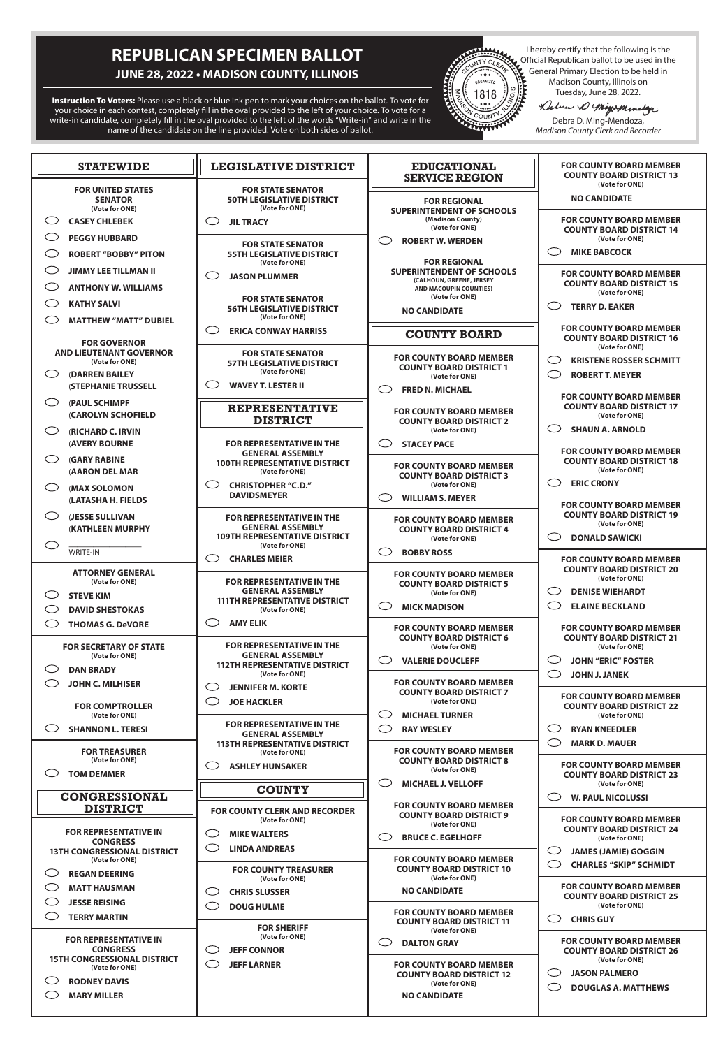# **REPUBLICAN SPECIMEN BALLOT**

# **JUNE 28, 2022 • MADISON COUNTY, ILLINOIS**

**Instruction To Voters:** Please use a black or blue ink pen to mark your choices on the ballot. To vote for your choice in each contest, completely fill in the oval provided to the left of your choice. To vote for a write-in candidate, completely fill in the oval provided to the left of the words "Write-in" and write in the name of the candidate on the line provided. Vote on both sides of ballot.



Official Republican ballot to be used in the General Primary Election to be held in Madison County, Illinois on

Tuesday, June 28, 2022.<br>Lebre D'Migis Menslage

Debra D. Ming-Mendoza, *Madison County Clerk and Recorder*

| <b>STATEWIDE</b>                                             | <b>LEGISLATIVE DISTRICT</b>                                                    | <b>EDUCATIONAL</b><br><b>SERVICE REGION</b>                       | <b>FOR COUNTY BOARD MEMBER</b><br><b>COUNTY BOARD DISTRICT 13</b><br>(Vote for ONE) |  |
|--------------------------------------------------------------|--------------------------------------------------------------------------------|-------------------------------------------------------------------|-------------------------------------------------------------------------------------|--|
| <b>FOR UNITED STATES</b><br><b>SENATOR</b><br>(Vote for ONE) | <b>FOR STATE SENATOR</b><br><b>50TH LEGISLATIVE DISTRICT</b><br>(Vote for ONE) | <b>FOR REGIONAL</b><br><b>SUPERINTENDENT OF SCHOOLS</b>           | <b>NO CANDIDATE</b>                                                                 |  |
| ( )<br><b>CASEY CHLEBEK</b>                                  | C<br><b>JIL TRACY</b>                                                          | (Madison County)                                                  | <b>FOR COUNTY BOARD MEMBER</b>                                                      |  |
| O<br><b>PEGGY HUBBARD</b>                                    |                                                                                | (Vote for ONE)<br>( )<br><b>ROBERT W. WERDEN</b>                  | <b>COUNTY BOARD DISTRICT 14</b><br>(Vote for ONE)                                   |  |
| <b>ROBERT "BOBBY" PITON</b>                                  | <b>FOR STATE SENATOR</b><br><b>55TH LEGISLATIVE DISTRICT</b><br>(Vote for ONE) | <b>FOR REGIONAL</b>                                               | $\sim$<br><b>MIKE BABCOCK</b>                                                       |  |
| <b>JIMMY LEE TILLMAN II</b>                                  | C<br><b>JASON PLUMMER</b>                                                      | <b>SUPERINTENDENT OF SCHOOLS</b>                                  | <b>FOR COUNTY BOARD MEMBER</b>                                                      |  |
| <b>ANTHONY W. WILLIAMS</b>                                   |                                                                                | (CALHOUN, GREENE, JERSEY<br><b>AND MACOUPIN COUNTIES)</b>         | <b>COUNTY BOARD DISTRICT 15</b><br>(Vote for ONE)                                   |  |
| C)<br><b>KATHY SALVI</b>                                     | <b>FOR STATE SENATOR</b><br><b>56TH LEGISLATIVE DISTRICT</b>                   | (Vote for ONE)<br><b>NO CANDIDATE</b>                             | <b>TERRY D. EAKER</b>                                                               |  |
| くつ<br><b>MATTHEW "MATT" DUBIEL</b>                           | (Vote for ONE)                                                                 |                                                                   |                                                                                     |  |
| <b>FOR GOVERNOR</b>                                          | $\bigcirc$<br><b>ERICA CONWAY HARRISS</b>                                      | <b>COUNTY BOARD</b>                                               | <b>FOR COUNTY BOARD MEMBER</b><br><b>COUNTY BOARD DISTRICT 16</b><br>(Vote for ONE) |  |
| <b>AND LIEUTENANT GOVERNOR</b><br>(Vote for ONE)             | <b>FOR STATE SENATOR</b><br><b>57TH LEGISLATIVE DISTRICT</b>                   | <b>FOR COUNTY BOARD MEMBER</b><br><b>COUNTY BOARD DISTRICT 1</b>  | <b>KRISTENE ROSSER SCHMITT</b>                                                      |  |
| <b>(DARREN BAILEY</b><br>( )                                 | (Vote for ONE)                                                                 | (Vote for ONE)                                                    | СĴ<br><b>ROBERT T. MEYER</b>                                                        |  |
| <b>(STEPHANIE TRUSSELL</b>                                   | C)<br><b>WAVEY T. LESTER II</b>                                                | ( )<br><b>FRED N. MICHAEL</b>                                     | <b>FOR COUNTY BOARD MEMBER</b>                                                      |  |
| ◯<br>(PAUL SCHIMPF                                           | <b>REPRESENTATIVE</b>                                                          | <b>FOR COUNTY BOARD MEMBER</b>                                    | <b>COUNTY BOARD DISTRICT 17</b>                                                     |  |
| (CAROLYN SCHOFIELD                                           | <b>DISTRICT</b>                                                                | <b>COUNTY BOARD DISTRICT 2</b>                                    | (Vote for ONE)<br><b>SHAUN A. ARNOLD</b>                                            |  |
| ◯<br><b>(RICHARD C. IRVIN</b><br><b>(AVERY BOURNE</b>        | <b>FOR REPRESENTATIVE IN THE</b>                                               | (Vote for ONE)<br>( )<br><b>STACEY PACE</b>                       |                                                                                     |  |
| C)<br><b>(GARY RABINE</b>                                    | <b>GENERAL ASSEMBLY</b>                                                        |                                                                   | <b>FOR COUNTY BOARD MEMBER</b>                                                      |  |
| <b>(AARON DEL MAR</b>                                        | <b>100TH REPRESENTATIVE DISTRICT</b><br>(Vote for ONE)                         | <b>FOR COUNTY BOARD MEMBER</b>                                    | <b>COUNTY BOARD DISTRICT 18</b><br>(Vote for ONE)                                   |  |
| くつ<br>(MAX SOLOMON                                           | ( )<br><b>CHRISTOPHER "C.D."</b>                                               | <b>COUNTY BOARD DISTRICT 3</b><br>(Vote for ONE)                  | <b>ERIC CRONY</b><br>U)                                                             |  |
| (LATASHA H. FIELDS                                           | <b>DAVIDSMEYER</b>                                                             | <b>WILLIAM S. MEYER</b><br>C .                                    | <b>FOR COUNTY BOARD MEMBER</b>                                                      |  |
| くつ<br><b>(JESSE SULLIVAN</b>                                 | <b>FOR REPRESENTATIVE IN THE</b>                                               | <b>FOR COUNTY BOARD MEMBER</b>                                    | <b>COUNTY BOARD DISTRICT 19</b>                                                     |  |
| <b>(KATHLEEN MURPHY</b>                                      | <b>GENERAL ASSEMBLY</b><br><b>109TH REPRESENTATIVE DISTRICT</b>                | <b>COUNTY BOARD DISTRICT 4</b>                                    | (Vote for ONE)                                                                      |  |
| <b>WRITE-IN</b>                                              | (Vote for ONE)                                                                 | (Vote for ONE)<br><b>BOBBY ROSS</b>                               | <b>DONALD SAWICKI</b>                                                               |  |
|                                                              | $\bigcirc$<br><b>CHARLES MEIER</b>                                             |                                                                   | <b>FOR COUNTY BOARD MEMBER</b>                                                      |  |
| <b>ATTORNEY GENERAL</b><br>(Vote for ONE)                    | <b>FOR REPRESENTATIVE IN THE</b>                                               | <b>FOR COUNTY BOARD MEMBER</b>                                    | <b>COUNTY BOARD DISTRICT 20</b><br>(Vote for ONE)                                   |  |
| C)<br><b>STEVE KIM</b>                                       | <b>GENERAL ASSEMBLY</b>                                                        | <b>COUNTY BOARD DISTRICT 5</b><br>(Vote for ONE)                  | <b>DENISE WIEHARDT</b><br>J.                                                        |  |
| くつ<br><b>DAVID SHESTOKAS</b>                                 | <b>111TH REPRESENTATIVE DISTRICT</b><br>(Vote for ONE)                         | ( )<br><b>MICK MADISON</b>                                        | O<br><b>ELAINE BECKLAND</b>                                                         |  |
| $\bigcirc$<br><b>THOMAS G. DeVORE</b>                        | <b>AMY ELIK</b><br>C D                                                         | <b>FOR COUNTY BOARD MEMBER</b>                                    | <b>FOR COUNTY BOARD MEMBER</b>                                                      |  |
| <b>FOR SECRETARY OF STATE</b>                                | <b>FOR REPRESENTATIVE IN THE</b>                                               | <b>COUNTY BOARD DISTRICT 6</b><br>(Vote for ONE)                  | <b>COUNTY BOARD DISTRICT 21</b><br>(Vote for ONE)                                   |  |
| (Vote for ONE)                                               | <b>GENERAL ASSEMBLY</b>                                                        | <b>VALERIE DOUCLEFF</b>                                           | <b>JOHN "ERIC" FOSTER</b><br>U)                                                     |  |
| C<br><b>DAN BRADY</b>                                        | <b>112TH REPRESENTATIVE DISTRICT</b><br>(Vote for ONE)                         |                                                                   | C<br><b>JOHN J. JANEK</b>                                                           |  |
| ( )<br><b>JOHN C. MILHISER</b>                               | O<br><b>JENNIFER M. KORTE</b>                                                  | <b>FOR COUNTY BOARD MEMBER</b><br><b>COUNTY BOARD DISTRICT 7</b>  |                                                                                     |  |
| <b>FOR COMPTROLLER</b>                                       | $\bigcirc$<br><b>JOE HACKLER</b>                                               | (Vote for ONE)                                                    | <b>FOR COUNTY BOARD MEMBER</b><br><b>COUNTY BOARD DISTRICT 22</b>                   |  |
| (Vote for ONE)                                               | <b>FOR REPRESENTATIVE IN THE</b>                                               | CD<br><b>MICHAEL TURNER</b>                                       | (Vote for ONE)                                                                      |  |
| <b>SHANNON L. TERESI</b>                                     | <b>GENERAL ASSEMBLY</b>                                                        | ( )<br><b>RAY WESLEY</b>                                          | <b>RYAN KNEEDLER</b><br>L.                                                          |  |
| <b>FOR TREASURER</b>                                         | <b>113TH REPRESENTATIVE DISTRICT</b><br>(Vote for ONE)                         | <b>FOR COUNTY BOARD MEMBER</b>                                    | C<br><b>MARK D. MAUER</b>                                                           |  |
| (Vote for ONE)<br>くつ<br><b>TOM DEMMER</b>                    | <b>ASHLEY HUNSAKER</b><br>( )                                                  | <b>COUNTY BOARD DISTRICT 8</b><br>(Vote for ONE)                  | <b>FOR COUNTY BOARD MEMBER</b>                                                      |  |
|                                                              | <b>COUNTY</b>                                                                  | C<br><b>MICHAEL J. VELLOFF</b>                                    | <b>COUNTY BOARD DISTRICT 23</b><br>(Vote for ONE)                                   |  |
| <b>CONGRESSIONAL</b>                                         |                                                                                | <b>FOR COUNTY BOARD MEMBER</b>                                    | <b>W. PAUL NICOLUSSI</b><br>、)                                                      |  |
| <b>DISTRICT</b>                                              | <b>FOR COUNTY CLERK AND RECORDER</b><br>(Vote for ONE)                         | <b>COUNTY BOARD DISTRICT 9</b>                                    | <b>FOR COUNTY BOARD MEMBER</b>                                                      |  |
| <b>FOR REPRESENTATIVE IN</b>                                 | O<br><b>MIKE WALTERS</b>                                                       | (Vote for ONE)                                                    | <b>COUNTY BOARD DISTRICT 24</b>                                                     |  |
| <b>CONGRESS</b><br><b>13TH CONGRESSIONAL DISTRICT</b>        | O<br><b>LINDA ANDREAS</b>                                                      | <b>BRUCE C. EGELHOFF</b>                                          | (Vote for ONE)<br>C<br><b>JAMES (JAMIE) GOGGIN</b>                                  |  |
| (Vote for ONE)                                               |                                                                                | <b>FOR COUNTY BOARD MEMBER</b><br><b>COUNTY BOARD DISTRICT 10</b> | C<br><b>CHARLES "SKIP" SCHMIDT</b>                                                  |  |
| <b>REGAN DEERING</b>                                         | <b>FOR COUNTY TREASURER</b><br>(Vote for ONE)                                  | (Vote for ONE)                                                    |                                                                                     |  |
| <b>MATT HAUSMAN</b>                                          | $\bigcirc$<br><b>CHRIS SLUSSER</b>                                             | <b>NO CANDIDATE</b>                                               | <b>FOR COUNTY BOARD MEMBER</b><br><b>COUNTY BOARD DISTRICT 25</b>                   |  |
| $\bigcirc$<br><b>JESSE REISING</b><br>C                      | C<br><b>DOUG HULME</b>                                                         | <b>FOR COUNTY BOARD MEMBER</b>                                    | (Vote for ONE)                                                                      |  |
| <b>TERRY MARTIN</b>                                          | <b>FOR SHERIFF</b>                                                             | <b>COUNTY BOARD DISTRICT 11</b><br>(Vote for ONE)                 | . .<br>.<br><b>CHRIS GUY</b>                                                        |  |
| <b>FOR REPRESENTATIVE IN</b>                                 | (Vote for ONE)                                                                 | <b>DALTON GRAY</b>                                                | <b>FOR COUNTY BOARD MEMBER</b>                                                      |  |
| <b>15TH CONGRESSIONAL DISTRICT</b>                           | <b>CONGRESS</b><br>$\bigcirc$<br><b>JEFF CONNOR</b>                            |                                                                   | <b>COUNTY BOARD DISTRICT 26</b><br>(Vote for ONE)                                   |  |
| (Vote for ONE)                                               | $\bigcirc$<br><b>JEFF LARNER</b>                                               | <b>FOR COUNTY BOARD MEMBER</b><br><b>COUNTY BOARD DISTRICT 12</b> | <b>JASON PALMERO</b><br>( )                                                         |  |
| <b>RODNEY DAVIS</b><br><b>MARY MILLER</b>                    |                                                                                | (Vote for ONE)<br><b>NO CANDIDATE</b>                             | ()<br><b>DOUGLAS A. MATTHEWS</b>                                                    |  |
|                                                              |                                                                                |                                                                   |                                                                                     |  |
|                                                              |                                                                                |                                                                   |                                                                                     |  |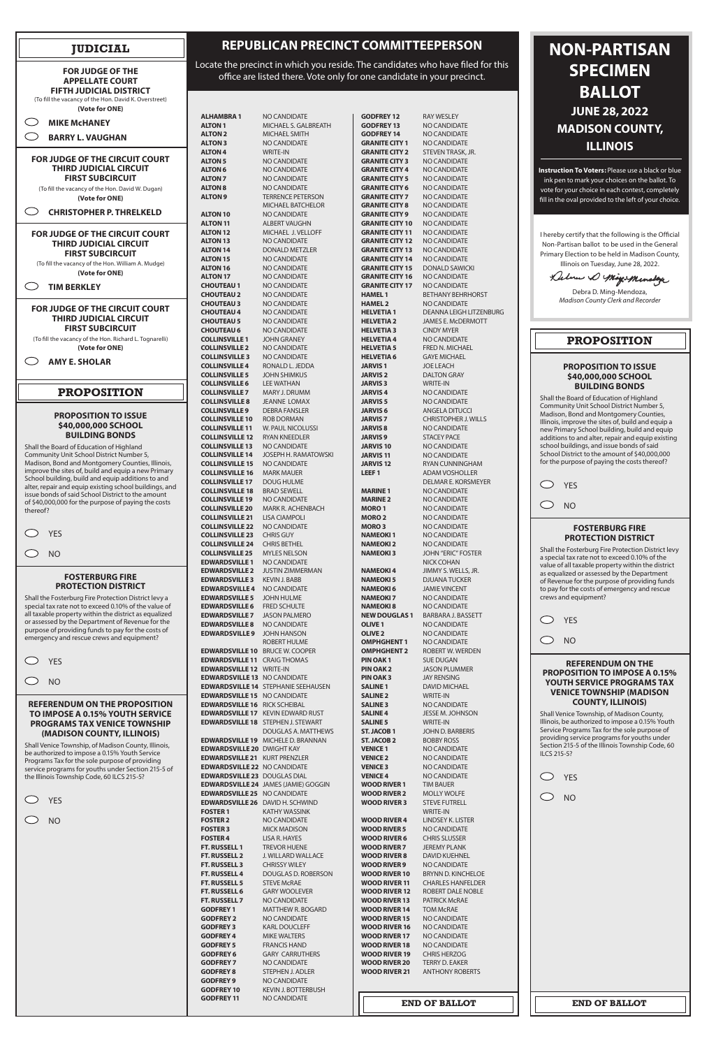## **REPUBLICAN PRECINCT COMMITTEEPERSON**

Locate the precinct in which you reside. The candidates who have filed for this office are listed there. Vote only for one candidate in your precinct.

| ALHAMBRA 1                                       | NO CANDIDATE                                |
|--------------------------------------------------|---------------------------------------------|
| <b>ALTON 1</b>                                   | MICHAEL S. GALBREATH                        |
| <b>ALTON 2</b>                                   | <b>MICHAEL SMITH</b>                        |
| <b>ALTON 3</b>                                   | <b>NO CANDIDATE</b>                         |
| <b>ALTON 4</b>                                   | <b>WRITE-IN</b>                             |
| <b>ALTON 5</b>                                   | <b>NO CANDIDATE</b>                         |
| <b>ALTON 6</b>                                   | <b>NO CANDIDATE</b>                         |
| <b>ALTON 7</b>                                   | <b>NO CANDIDATE</b>                         |
| <b>ALTON 8</b>                                   | <b>NO CANDIDATE</b>                         |
| <b>ALTON 9</b>                                   | <b>TERRENCE PETERSON</b>                    |
|                                                  | <b>MICHAEL BATCHELOR</b>                    |
| ALTON 10                                         | <b>NO CANDIDATE</b>                         |
| <b>ALTON 11</b>                                  | <b>ALBERT VAUGHN</b>                        |
| <b>ALTON 12</b>                                  | MICHAEL J. VELLOFF                          |
| <b>ALTON 13</b>                                  | <b>NO CANDIDATE</b>                         |
| <b>ALTON 14</b>                                  | <b>DONALD METZLER</b>                       |
| <b>ALTON 15</b>                                  | <b>NO CANDIDATE</b>                         |
| <b>ALTON 16</b>                                  | <b>NO CANDIDATE</b>                         |
| <b>ALTON 17</b>                                  | <b>NO CANDIDATE</b>                         |
| <b>CHOUTEAU 1</b>                                | <b>NO CANDIDATE</b>                         |
| <b>CHOUTEAU 2</b>                                | <b>NO CANDIDATE</b>                         |
| <b>CHOUTEAU 3</b>                                | NO CANDIDATE                                |
| <b>CHOUTEAU 4</b>                                | NO CANDIDATE                                |
| <b>CHOUTEAU 5</b>                                | NO CANDIDATE                                |
| <b>CHOUTEAU 6</b>                                | NO CANDIDATE                                |
| <b>COLLINSVILLE 1</b>                            | <b>JOHN GRANEY</b>                          |
| <b>COLLINSVILLE 2</b>                            | NO CANDIDATE                                |
| <b>COLLINSVILLE 3</b>                            | NO CANDIDATE                                |
| <b>COLLINSVILLE 4</b>                            | RONALD L. JEDDA                             |
| <b>COLLINSVILLE 5</b>                            | <b>JOHN SHIMKUS</b>                         |
| <b>COLLINSVILLE 6</b>                            | <b>LEE WATHAN</b>                           |
| <b>COLLINSVILLE 7</b>                            | MARY J. DRUMM                               |
| <b>COLLINSVILLE 8</b>                            | <b>JEANNE LOMAX</b>                         |
| COLLINSVILLE 9                                   | <b>DEBRA FANSLER</b>                        |
| <b>COLLINSVILLE 10</b>                           | <b>ROB DORMAN</b>                           |
| <b>COLLINSVILLE 11</b>                           | <b>W. PAUL NICOLUSSI</b>                    |
| <b>COLLINSVILLE 12</b>                           | <b>RYAN KNEEDLER</b>                        |
| <b>COLLINSVILLE 13</b>                           | NO CANDIDATE                                |
| <b>COLLINSVILLE 14</b>                           | JOSEPH H. RAMATOWSKI                        |
| <b>COLLINSVILLE 15</b>                           | <b>NO CANDIDATE</b>                         |
| <b>COLLINSVILLE 16</b>                           | <b>MARK MAUER</b>                           |
| <b>COLLINSVILLE 17</b>                           | <b>DOUG HULME</b>                           |
| <b>COLLINSVILLE 18</b>                           | <b>BRAD SEWELL</b>                          |
| <b>COLLINSVILLE 19</b>                           | <b>NO CANDIDATE</b>                         |
| <b>COLLINSVILLE 20</b>                           | MARK R. ACHENBACH                           |
| <b>COLLINSVILLE 21</b><br><b>COLLINSVILLE 22</b> | <b>LISA CIAMPOLI</b><br><b>NO CANDIDATE</b> |
| <b>COLLINSVILLE 23</b>                           | <b>CHRIS GUY</b>                            |
| <b>COLLINSVILLE 24</b>                           | <b>CHRIS BETHEL</b>                         |
| <b>COLLINSVILLE 25</b>                           | <b>MYLES NELSON</b>                         |
| <b>EDWARDSVILLE 1</b>                            | <b>NO CANDIDATE</b>                         |
| <b>EDWARDSVILLE 2</b>                            | <b>JUSTIN ZIMMERMAN</b>                     |
| <b>EDWARDSVILLE 3</b>                            | <b>KEVIN J. BABB</b>                        |
| <b>EDWARDSVILLE 4</b>                            | <b>NO CANDIDATE</b>                         |
| <b>EDWARDSVILLE 5</b>                            | <b>JOHN HULME</b>                           |
| <b>EDWARDSVILLE 6</b>                            | <b>FRED SCHULTE</b>                         |
| <b>EDWARDSVILLE 7</b>                            | <b>JASON PALMERO</b>                        |
| <b>EDWARDSVILLE 8</b>                            | <b>NO CANDIDATE</b>                         |
| <b>EDWARDSVILLE 9</b>                            | <b>JOHN HANSON</b>                          |
|                                                  | <b>ROBERT HULME</b>                         |
| <b>EDWARDSVILLE 10</b>                           | <b>BRUCE W. COOPER</b>                      |
| <b>EDWARDSVILLE 11</b>                           | <b>CRAIG THOMAS</b>                         |
| <b>EDWARDSVILLE 12</b>                           | <b>WRITE-IN</b>                             |
| <b>EDWARDSVILLE 13</b>                           | <b>NO CANDIDATE</b>                         |
| <b>EDWARDSVILLE 14</b>                           | STEPHANIE SEEHAUSEN                         |
| <b>EDWARDSVILLE 15</b>                           | <b>NO CANDIDATE</b>                         |
| <b>EDWARDSVILLE 16</b>                           | <b>RICK SCHEIBAL</b>                        |
| <b>EDWARDSVILLE 17</b>                           | <b>KEVIN EDWARD RUST</b>                    |
| <b>EDWARDSVILLE 18</b>                           | STEPHEN J. STEWART                          |
|                                                  | DOUGLAS A. MATTHEWS                         |
| <b>EDWARDSVILLE 19</b>                           | MICHELE D. BRANNAN                          |
| <b>EDWARDSVILLE 20</b>                           | <b>DWIGHT KAY</b>                           |
| <b>EDWARDSVILLE 21</b>                           | <b>KURT PRENZLER</b>                        |
| <b>EDWARDSVILLE 22</b>                           | <b>NO CANDIDATE</b>                         |
| <b>EDWARDSVILLE 23</b>                           | <b>DOUGLAS DIAL</b>                         |
| <b>EDWARDSVILLE 24</b>                           | <b>JAMES (JAMIE) GOGGIN</b>                 |

 $\bigcirc$ **MIKE McHANEY**  $\bigcirc$ **BARRY L. VAUGHAN FOR JUDGE OF THE CIRCUIT COURT THIRD JUDICIAL CIRCUIT FIRST SUBCIRCUIT** (To fill the vacancy of the Hon. David W. Dugan) **(Vote for ONE)**  $\bigcirc$ **CHRISTOPHER P. THRELKELD FOR JUDGE OF THE CIRCUIT COURT THIRD JUDICIAL CIRCUIT FIRST SUBCIRCUIT** (To fill the vacancy of the Hon. William A. Mudge) **(Vote for ONE)**  $\bigcirc$ **TIM BERKLEY FOR JUDGE OF THE CIRCUIT COURT THIRD JUDICIAL CIRCUIT FIRST SUBCIRCUIT** (To fill the vacancy of the Hon. Richard L. Tognarelli) **(Vote for ONE)**  $\bigcirc$ **AMY E. SHOLAR PROPOSITION PROPOSITION TO ISSUE \$40,000,000 SCHOOL BUILDING BONDS** Shall the Board of Education of Highland Community Unit School District Number 5, Madison, Bond and Montgomery Counties, Illinois, improve the sites of, build and equip a new Primary School building, build and equip additions to and alter, repair and equip existing school buildings, and issue bonds of said School District to the amount of \$40,000,000 for the purpose of paying the costs thereof? YES  $\left(\begin{array}{c} \end{array}\right)$ NO **FOSTERBURG FIRE PROTECTION DISTRICT** Shall the Fosterburg Fire Protection District levy a special tax rate not to exceed 0.10% of the value of all taxable property within the district as equalized or assessed by the Department of Revenue for the purpose of providing funds to pay for the costs of emergency and rescue crews and equipment? YES  $($  ) NO **REFERENDUM ON THE PROPOSITION TO IMPOSE A 0.15% YOUTH SERVICE PROGRAMS TAX VENICE TOWNSHIP (MADISON COUNTY, ILLINOIS)**

YES  $\bigcirc$  NO

| <b>GODFREY 12</b>                                | RAY WESLEY                                     |
|--------------------------------------------------|------------------------------------------------|
| <b>GODFREY 13</b>                                | <b>NO CANDIDATE</b>                            |
| <b>GODFREY 14</b>                                | <b>NO CANDIDATE</b>                            |
| <b>GRANITE CITY 1</b>                            | NO CANDIDATE                                   |
| <b>GRANITE CITY 2</b><br><b>GRANITE CITY 3</b>   | STEVEN TRASK, JR.<br><b>NO CANDIDATE</b>       |
| <b>GRANITE CITY 4</b>                            | NO CANDIDATE                                   |
| <b>GRANITE CITY 5</b>                            | NO CANDIDATE                                   |
| <b>GRANITE CITY 6</b>                            | <b>NO CANDIDATE</b>                            |
| <b>GRANITE CITY 7</b>                            | NO CANDIDATE                                   |
| <b>GRANITE CITY 8</b>                            | NO CANDIDATE<br><b>NO CANDIDATE</b>            |
| <b>GRANITE CITY 9</b><br><b>GRANITE CITY 10</b>  | <b>NO CANDIDATE</b>                            |
| <b>GRANITE CITY 11</b>                           | NO CANDIDATE                                   |
| <b>GRANITE CITY 12</b>                           | NO CANDIDATE                                   |
| <b>GRANITE CITY 13</b>                           | NO CANDIDATE                                   |
| <b>GRANITE CITY 14</b>                           | <b>NO CANDIDATE</b>                            |
| <b>GRANITE CITY 15</b><br><b>GRANITE CITY 16</b> | <b>DONALD SAWICKI</b><br>NO CANDIDATE          |
| <b>GRANITE CITY 17</b>                           | <b>NO CANDIDATE</b>                            |
| <b>HAMEL1</b>                                    | <b>BETHANY BEHRHORST</b>                       |
| <b>HAMEL 2</b>                                   | NO CANDIDATE                                   |
| <b>HELVETIA1</b>                                 | DEANNA LEIGH LITZENBURG                        |
| <b>HELVETIA 2</b><br><b>HELVETIA 3</b>           | <b>JAMES E. MCDERMOTT</b><br><b>CINDY MYER</b> |
| <b>HELVETIA4</b>                                 | NO CANDIDATE                                   |
| <b>HELVETIA 5</b>                                | <b>FRED N. MICHAEL</b>                         |
| <b>HELVETIA 6</b>                                | <b>GAYE MICHAEL</b>                            |
| <b>JARVIS1</b>                                   | <b>JOE LEACH</b>                               |
| <b>JARVIS 2</b>                                  | <b>DALTON GRAY</b>                             |
| <b>JARVIS3</b><br><b>JARVIS4</b>                 | <b>WRITE-IN</b><br>NO CANDIDATE                |
| <b>JARVIS 5</b>                                  | NO CANDIDATE                                   |
| <b>JARVIS 6</b>                                  | <b>ANGELA DITUCCI</b>                          |
| <b>JARVIS 7</b>                                  | <b>CHRISTOPHER J. WILLS</b>                    |
| <b>JARVIS<sub>8</sub></b>                        | <b>NO CANDIDATE</b>                            |
| <b>JARVIS 9</b><br><b>JARVIS 10</b>              | <b>STACEY PACE</b><br>NO CANDIDATE             |
| <b>JARVIS11</b>                                  | NO CANDIDATE                                   |
| <b>JARVIS 12</b>                                 | RYAN CUNNINGHAM                                |
| LEEF <sub>1</sub>                                | <b>ADAM VOSHOLLER</b>                          |
|                                                  | DELMAR E. KORSMEYER                            |
| <b>MARINE 1</b><br><b>MARINE 2</b>               | NO CANDIDATE<br><b>NO CANDIDATE</b>            |
| <b>MORO1</b>                                     | <b>NO CANDIDATE</b>                            |
| <b>MORO2</b>                                     | NO CANDIDATE                                   |
| <b>MORO3</b>                                     | <b>NO CANDIDATE</b>                            |
| <b>NAMEOKI1</b>                                  | <b>NO CANDIDATE</b>                            |
| <b>NAMEOKI 2</b><br><b>NAMEOKI3</b>              | <b>NO CANDIDATE</b><br>JOHN "ERIC" FOSTER      |
|                                                  | NICK COHAN                                     |
| <b>NAMEOKI4</b>                                  | JIMMY S. WELLS, JR.                            |
| <b>NAMEOKI5</b>                                  | <b>DJUANA TUCKER</b>                           |
| <b>NAMEOKI 6</b>                                 | <b>JAMIE VINCENT</b>                           |
| <b>NAMEOKI 7</b><br><b>NAMEOKI 8</b>             | NO CANDIDATE<br>NO CANDIDATE                   |
| <b>NEW DOUGLAS 1</b>                             | <b>BARBARA J. BASSETT</b>                      |
| <b>OLIVE 1</b>                                   | NO CANDIDATE                                   |
| <b>OLIVE 2</b>                                   | <b>NO CANDIDATE</b>                            |
| <b>OMPHGHENT 1</b>                               | NO CANDIDATE                                   |
| <b>OMPHGHENT 2</b><br><b>PIN OAK1</b>            | ROBERT W. WERDEN<br><b>SUE DUGAN</b>           |
| <b>PIN OAK 2</b>                                 | <b>JASON PLUMMER</b>                           |
| <b>PIN OAK3</b>                                  | <b>JAY RENSING</b>                             |
| <b>SALINE 1</b>                                  | <b>DAVID MICHAEL</b>                           |
| <b>SALINE 2</b>                                  | <b>WRITE-IN</b>                                |
| <b>SALINE 3</b><br><b>SALINE 4</b>               | NO CANDIDATE<br><b>JESSE M. JOHNSON</b>        |
| <b>SALINE 5</b>                                  | <b>WRITE-IN</b>                                |
| ST. JACOB 1                                      | <b>JOHN D. BARBERIS</b>                        |
| <b>ST. JACOB 2</b>                               | <b>BOBBY ROSS</b>                              |
| <b>VENICE 1</b>                                  | NO CANDIDATE                                   |
| <b>VENICE 2</b><br><b>VENICE 3</b>               | <b>NO CANDIDATE</b><br>NO CANDIDATE            |
| <b>VENICE 4</b>                                  | NO CANDIDATE                                   |
| <b>WOOD RIVER 1</b>                              | <b>TIM BAUER</b>                               |
|                                                  |                                                |

 $\bigcirc$ YES

 $\bigcirc$ NO

 $\bigcirc$ NO

 $\bigcirc$ YES

## **JUDICIAL**

**FOR JUDGE OF THE APPELLATE COURT FIFTH JUDICIAL DISTRICT** (To fill the vacancy of the Hon. David K. Overstreet) **(Vote for ONE)**

| <b>GODFREY 11</b>                       | NO CANDIDATE                         |                                            | <b>END OF BALLOT</b>                 | <b>END OF BALLOT</b> |
|-----------------------------------------|--------------------------------------|--------------------------------------------|--------------------------------------|----------------------|
| <b>GODFREY 10</b>                       | <b>KEVIN J. BOTTERBUSH</b>           |                                            |                                      |                      |
| <b>GODFREY 9</b>                        | NO CANDIDATE                         |                                            |                                      |                      |
| <b>GODFREY 8</b>                        | STEPHEN J. ADLER                     | <b>WOOD RIVER 21</b>                       | <b>ANTHONY ROBERTS</b>               |                      |
| <b>GODFREY 7</b>                        | NO CANDIDATE                         | <b>WOOD RIVER 20</b>                       | <b>TERRY D. EAKER</b>                |                      |
| <b>GODFREY 6</b>                        | <b>GARY CARRUTHERS</b>               | <b>WOOD RIVER 19</b>                       | <b>CHRIS HERZOG</b>                  |                      |
| <b>GODFREY 5</b>                        | <b>FRANCIS HAND</b>                  | <b>WOOD RIVER 18</b>                       | NO CANDIDATE                         |                      |
| <b>GODFREY 4</b>                        | <b>MIKE WALTERS</b>                  | <b>WOOD RIVER 17</b>                       | NO CANDIDATE                         |                      |
| <b>GODFREY 3</b>                        | <b>KARL DOUCLEFF</b>                 | <b>WOOD RIVER 16</b>                       | NO CANDIDATE                         |                      |
| <b>GODFREY 2</b>                        | NO CANDIDATE                         | <b>WOOD RIVER 15</b>                       | NO CANDIDATE                         |                      |
| <b>GODFREY 1</b>                        | <b>MATTHEW R. BOGARD</b>             | <b>WOOD RIVER 14</b>                       | <b>TOM McRAE</b>                     |                      |
| <b>FT. RUSSELL 7</b>                    | NO CANDIDATE                         | <b>WOOD RIVER 13</b>                       | <b>PATRICK MCRAE</b>                 |                      |
| <b>FT. RUSSELL 6</b>                    | <b>GARY WOOLEVER</b>                 | <b>WOOD RIVER 12</b>                       | ROBERT DALE NOBLE                    |                      |
| <b>FT. RUSSELL 5</b>                    | <b>STEVE MCRAE</b>                   | <b>WOOD RIVER 11</b>                       | <b>CHARLES HANFELDER</b>             |                      |
| <b>FT. RUSSELL 4</b>                    | DOUGLAS D. ROBERSON                  | <b>WOOD RIVER 10</b>                       | <b>BRYNN D. KINCHELOE</b>            |                      |
| <b>FT. RUSSELL 3</b>                    | <b>CHRISSY WILEY</b>                 | <b>WOOD RIVER 9</b>                        | NO CANDIDATE                         |                      |
| <b>FT. RUSSELL 2</b>                    | J. WILLARD WALLACE                   | <b>WOOD RIVER 8</b>                        | <b>DAVID KUEHNEL</b>                 |                      |
| <b>FT. RUSSELL 1</b>                    | <b>TREVOR HUENE</b>                  | <b>WOOD RIVER 7</b>                        | <b>JEREMY PLANK</b>                  |                      |
| <b>FOSTER 3</b><br><b>FOSTER4</b>       | <b>MICK MADISON</b><br>LISA R. HAYES | <b>WOOD RIVER 5</b><br><b>WOOD RIVER 6</b> | NO CANDIDATE<br><b>CHRIS SLUSSER</b> |                      |
| <b>FOSTER 2</b>                         | NO CANDIDATE                         | <b>WOOD RIVER 4</b>                        | LINDSEY K. LISTER                    |                      |
| <b>FOSTER1</b>                          | <b>KATHY WASSINK</b>                 |                                            | WRITE-IN                             |                      |
| <b>EDWARDSVILLE 26 DAVID H. SCHWIND</b> |                                      | <b>WOOD RIVER 3</b>                        | <b>STEVE FUTRELL</b>                 |                      |
| <b>EDWARDSVILLE 25 NO CANDIDATE</b>     |                                      | <b>WOOD RIVER 2</b>                        | <b>MOLLY WOLFE</b>                   | <b>NO</b>            |
|                                         |                                      |                                            |                                      |                      |

Shall Venice Township, of Madison County, Illinois, be authorized to impose a 0.15% Youth Service Programs Tax for the sole purpose of providing service programs for youths under Section 215-5 of the Illinois Township Code, 60 ILCS 215-5?

### **PROPOSITION**

#### **PROPOSITION TO ISSUE \$40,000,000 SCHOOL BUILDING BONDS**

Shall the Board of Education of Highland Community Unit School District Number 5, Madison, Bond and Montgomery Counties, Illinois, improve the sites of, build and equip a new Primary School building, build and equip additions to and alter, repair and equip existing school buildings, and issue bonds of said School District to the amount of \$40,000,000 for the purpose of paying the costs thereof?

#### **FOSTERBURG FIRE PROTECTION DISTRICT**

Shall the Fosterburg Fire Protection District levy a special tax rate not to exceed 0.10% of the value of all taxable property within the district as equalized or assessed by the Department of Revenue for the purpose of providing funds to pay for the costs of emergency and rescue crews and equipment?

|--|--|

#### **REFERENDUM ON THE PROPOSITION TO IMPOSE A 0.15% YOUTH SERVICE PROGRAMS TAX VENICE TOWNSHIP (MADISON COUNTY, ILLINOIS)**

Shall Venice Township, of Madison County, Illinois, be authorized to impose a 0.15% Youth Service Programs Tax for the sole purpose of providing service programs for youths under Section 215-5 of the Illinois Township Code, 60 ILCS 215-5?

# **NON-PARTISAN SPECIMEN BALLOT JUNE 28, 2022 MADISON COUNTY, ILLINOIS**

**Instruction To Voters:** Please use a black or blue ink pen to mark your choices on the ballot. To vote for your choice in each contest, completely fill in the oval provided to the left of your choice.

I hereby certify that the following is the Official Non-Partisan ballot to be used in the General Primary Election to be held in Madison County, Illinois on Tuesday, June 28, 2022.

Delme D'Mig Mendge

Debra D. Ming-Mendoza, *Madison County Clerk and Recorder*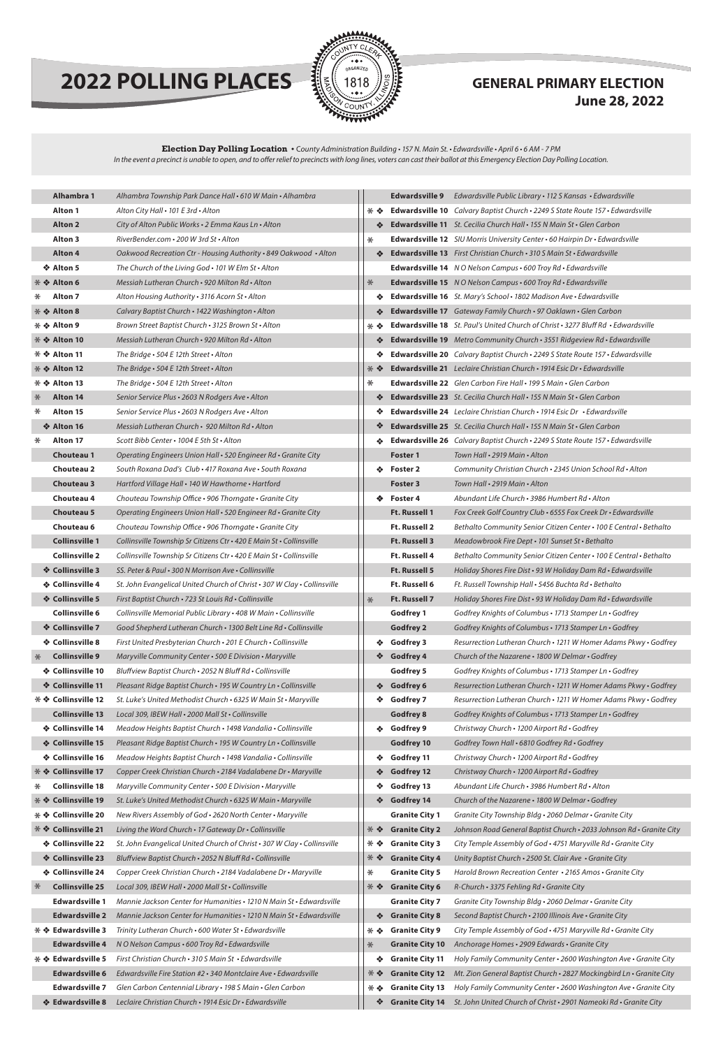

# **2022 POLLING PLACES Exercise 1818 June 28, 2022**

المنافذ

| Alhambra 1                                       | Alhambra Township Park Dance Hall . 610 W Main . Alhambra                |             |                        | Edwardsville 9 Edwardsville Public Library . 112 S Kansas . Edwa          |
|--------------------------------------------------|--------------------------------------------------------------------------|-------------|------------------------|---------------------------------------------------------------------------|
| <b>Alton 1</b>                                   | Alton City Hall • 101 E 3rd • Alton                                      | ⋇⋄          |                        | Edwardsville 10 Calvary Baptist Church . 2249 S State Route 157.          |
| <b>Alton 2</b>                                   | City of Alton Public Works . 2 Emma Kaus Ln . Alton                      |             |                        | Edwardsville 11 St. Cecilia Church Hall · 155 N Main St · Glen Carb       |
| <b>Alton 3</b>                                   | RiverBender.com · 200 W 3rd St · Alton                                   | $\ast$      |                        | Edwardsville 12 SIU Morris University Center · 60 Hairpin Dr · Edw        |
| <b>Alton 4</b>                                   | Oakwood Recreation Ctr - Housing Authority · 849 Oakwood · Alton         |             |                        | Edwardsville 13 First Christian Church · 310 S Main St · Edwardsvi        |
| ❖ Alton 5                                        | The Church of the Living God . 101 W Elm St . Alton                      |             |                        | Edwardsville 14 NO Nelson Campus · 600 Troy Rd · Edwardsville             |
| * ❖ Alton 6                                      | Messiah Lutheran Church • 920 Milton Rd • Alton                          | $*$         |                        | Edwardsville 15 NO Nelson Campus · 600 Troy Rd · Edwardsville             |
| ⋇<br><b>Alton 7</b>                              | Alton Housing Authority . 3116 Acorn St . Alton                          |             |                        | Edwardsville 16 St. Mary's School . 1802 Madison Ave . Edwardsvi          |
| * ❖ Alton 8                                      | Calvary Baptist Church • 1422 Washington • Alton                         |             |                        | Edwardsville 17 Gateway Family Church · 97 Oaklawn · Glen Carl            |
| * ❖ Alton 9                                      | Brown Street Baptist Church • 3125 Brown St • Alton                      | * ∻         |                        | <b>Edwardsville 18</b> St. Paul's United Church of Christ • 3277 Bluff Rd |
| * ❖ Alton 10                                     | Messiah Lutheran Church · 920 Milton Rd · Alton                          | ❖           |                        | Edwardsville 19 Metro Community Church · 3551 Ridgeview Rd · I            |
| * ❖ Alton 11                                     | The Bridge • 504 E 12th Street • Alton                                   |             |                        | Edwardsville 20 Calvary Baptist Church · 2249 S State Route 157 ·         |
| * ❖ Alton 12                                     | The Bridge · 504 E 12th Street · Alton                                   | * *         |                        | Edwardsville 21 Leclaire Christian Church · 1914 Esic Dr · Edwards        |
| * ❖ Alton 13                                     | The Bridge · 504 E 12th Street · Alton                                   | ⋇           |                        | Edwardsville 22 Glen Carbon Fire Hall · 199 S Main · Glen Carbon          |
| $\ast$<br><b>Alton 14</b>                        | Senior Service Plus . 2603 N Rodgers Ave . Alton                         | ❖           |                        | Edwardsville 23 St. Cecilia Church Hall · 155 N Main St · Glen Carb       |
| $\ast$<br>Alton 15                               | Senior Service Plus • 2603 N Rodgers Ave • Alton                         |             |                        | Edwardsville 24 Leclaire Christian Church · 1914 Esic Dr · Edward         |
| ❖ Alton 16                                       | Messiah Lutheran Church · 920 Milton Rd · Alton                          | ❖           |                        | Edwardsville 25 St. Cecilia Church Hall . 155 N Main St . Glen Carb       |
| ∗<br>Alton 17                                    | Scott Bibb Center . 1004 E 5th St . Alton                                |             |                        | Edwardsville 26 Calvary Baptist Church · 2249 S State Route 157 ·         |
| <b>Chouteau 1</b>                                | Operating Engineers Union Hall · 520 Engineer Rd · Granite City          |             | Foster 1               | Town Hall . 2919 Main . Alton                                             |
| <b>Chouteau 2</b>                                | South Roxana Dad's Club . 417 Roxana Ave . South Roxana                  |             | ❖ Foster 2             | Community Christian Church . 2345 Union Schoo                             |
| <b>Chouteau 3</b>                                | Hartford Village Hall · 140 W Hawthorne · Hartford                       |             | <b>Foster 3</b>        | Town Hall . 2919 Main . Alton                                             |
| <b>Chouteau 4</b>                                | Chouteau Township Office · 906 Thorngate · Granite City                  | ※           | Foster 4               | Abundant Life Church • 3986 Humbert Rd • Alton                            |
| <b>Chouteau 5</b>                                | Operating Engineers Union Hall • 520 Engineer Rd • Granite City          |             | Ft. Russell 1          | Fox Creek Golf Country Club . 6555 Fox Creek Dr .                         |
| Chouteau 6                                       | Chouteau Township Office · 906 Thorngate · Granite City                  |             | Ft. Russell 2          | Bethalto Community Senior Citizen Center · 100 l                          |
| <b>Collinsville 1</b>                            | Collinsville Township Sr Citizens Ctr · 420 E Main St · Collinsville     |             | <b>Ft. Russell 3</b>   | Meadowbrook Fire Dept . 101 Sunset St . Bethalto                          |
| <b>Collinsville 2</b>                            | Collinsville Township Sr Citizens Ctr · 420 E Main St · Collinsville     |             | Ft. Russell 4          | Bethalto Community Senior Citizen Center · 100 l                          |
| ❖ Collinsville 3                                 | SS. Peter & Paul · 300 N Morrison Ave · Collinsville                     |             | Ft. Russell 5          | Holiday Shores Fire Dist . 93 W Holiday Dam Rd .                          |
| ❖ Collinsville 4                                 | St. John Evangelical United Church of Christ · 307 W Clay · Collinsville |             | <b>Ft. Russell 6</b>   | Ft. Russell Township Hall · 5456 Buchta Rd · Betho                        |
| ❖ Collinsville 5                                 | First Baptist Church · 723 St Louis Rd · Collinsville                    | $*$         | <b>Ft. Russell 7</b>   | Holiday Shores Fire Dist . 93 W Holiday Dam Rd .                          |
| <b>Collinsville 6</b>                            | Collinsville Memorial Public Library · 408 W Main · Collinsville         |             | <b>Godfrey 1</b>       | Godfrey Knights of Columbus · 1713 Stamper Ln ·                           |
| ❖ Collinsville 7                                 | Good Shepherd Lutheran Church • 1300 Belt Line Rd • Collinsville         |             | <b>Godfrey 2</b>       | Godfrey Knights of Columbus · 1713 Stamper Ln ·                           |
| ❖ Collinsville 8                                 | First United Presbyterian Church • 201 E Church • Collinsville           | ❖           | <b>Godfrey 3</b>       | Resurrection Lutheran Church • 1211 W Homer Ac                            |
| <b>Collinsville 9</b><br>$\ast$                  | Maryville Community Center · 500 E Division · Maryville                  | ❖           | <b>Godfrey 4</b>       | Church of the Nazarene · 1800 W Delmar · Godfra                           |
| ❖ Collinsville 10                                | Bluffview Baptist Church . 2052 N Bluff Rd . Collinsville                |             | <b>Godfrey 5</b>       | Godfrey Knights of Columbus • 1713 Stamper Ln •                           |
| ❖ Collinsville 11                                | Pleasant Ridge Baptist Church · 195 W Country Ln · Collinsville          | ❖           | <b>Godfrey 6</b>       | Resurrection Lutheran Church . 1211 W Homer Ad                            |
| * ◆ Collinsville 12                              | St. Luke's United Methodist Church . 6325 W Main St . Maryville          | ❖           | <b>Godfrey 7</b>       | Resurrection Lutheran Church • 1211 W Homer Ac                            |
| <b>Collinsville 13</b>                           | Local 309, IBEW Hall · 2000 Mall St · Collinsville                       |             | <b>Godfrey 8</b>       | Godfrey Knights of Columbus · 1713 Stamper Ln ·                           |
| ❖ Collinsville 14                                | Meadow Heights Baptist Church • 1498 Vandalia • Collinsville             | ÷.          | Godfrey 9              | Christway Church • 1200 Airport Rd • Godfrey                              |
| ❖ Collinsville 15                                | Pleasant Ridge Baptist Church . 195 W Country Ln . Collinsville          |             | Godfrey 10             | Godfrey Town Hall . 6810 Godfrey Rd . Godfrey                             |
| ❖ Collinsville 16                                | Meadow Heights Baptist Church • 1498 Vandalia • Collinsville             | ❖           | Godfrey 11             | Christway Church · 1200 Airport Rd · Godfrey                              |
| * ◆ Collinsville 17                              | Copper Creek Christian Church · 2184 Vadalabene Dr · Maryville           | ❖           | <b>Godfrey 12</b>      | Christway Church . 1200 Airport Rd . Godfrey                              |
| <b>Collinsville 18</b><br>⋇                      | Maryville Community Center · 500 E Division · Maryville                  |             | Godfrey 13             | Abundant Life Church • 3986 Humbert Rd • Alton                            |
| * ◆ Collinsville 19                              | St. Luke's United Methodist Church . 6325 W Main . Maryville             | ❖           | Godfrey 14             | Church of the Nazarene · 1800 W Delmar · Godfra                           |
| * ◆ Collinsville 20                              | New Rivers Assembly of God . 2620 North Center . Maryville               |             | <b>Granite City 1</b>  | Granite City Township Bldg · 2060 Delmar · Gran.                          |
| <b><del><sup>*</sup> ◆ Collinsville 21</del></b> | Living the Word Church . 17 Gateway Dr . Collinsville                    | * *         | <b>Granite City 2</b>  | Johnson Road General Baptist Church · 2033 Joh                            |
| ❖ Collinsville 22                                | St. John Evangelical United Church of Christ · 307 W Clay · Collinsville | ⋇∻          | <b>Granite City 3</b>  | City Temple Assembly of God . 4751 Maryville Rd                           |
| ❖ Collinsville 23                                | Bluffview Baptist Church . 2052 N Bluff Rd . Collinsville                | * *         | <b>Granite City 4</b>  | Unity Baptist Church . 2500 St. Clair Ave . Granite                       |
| ❖ Collinsville 24                                | Copper Creek Christian Church · 2184 Vadalabene Dr · Maryville           | ⋇           | <b>Granite City 5</b>  | Harold Brown Recreation Center • 2165 Amos • G                            |
| $\ast$<br><b>Collinsville 25</b>                 | Local 309, IBEW Hall . 2000 Mall St . Collinsville                       | * *         | <b>Granite City 6</b>  | R-Church · 3375 Fehling Rd · Granite City                                 |
| <b>Edwardsville 1</b>                            | Mannie Jackson Center for Humanities • 1210 N Main St • Edwardsville     |             | <b>Granite City 7</b>  | Granite City Township Bldg · 2060 Delmar · Gran.                          |
| <b>Edwardsville 2</b>                            | Mannie Jackson Center for Humanities • 1210 N Main St • Edwardsville     | ❖           | <b>Granite City 8</b>  | Second Baptist Church . 2100 Illinois Ave . Granite                       |
| * ❖ Edwardsville 3                               | Trinity Lutheran Church . 600 Water St . Edwardsville                    | * *         | <b>Granite City 9</b>  | City Temple Assembly of God . 4751 Maryville Rd                           |
| <b>Edwardsville 4</b>                            | N O Nelson Campus · 600 Troy Rd · Edwardsville                           | $\ast$      | <b>Granite City 10</b> | Anchorage Homes · 2909 Edwards · Granite City                             |
| * ◆ Edwardsville 5                               | First Christian Church · 310 S Main St · Edwardsville                    | ❖           | <b>Granite City 11</b> | Holy Family Community Center · 2600 Washingto                             |
| <b>Edwardsville 6</b>                            | Edwardsville Fire Station #2 · 340 Montclaire Ave · Edwardsville         | **          | <b>Granite City 12</b> | Mt. Zion General Baptist Church . 2827 Mockingb                           |
| Edwardsville 7                                   | Glen Carbon Centennial Library • 198 S Main • Glen Carbon                | $*$ $\cdot$ |                        | Granite City 13 Holy Family Community Center · 2600 Washington            |
| ❖ Edwardsville 8                                 | Leclaire Christian Church · 1914 Esic Dr · Edwardsville                  | ❖           |                        | Granite City 14 St. John United Church of Christ · 2901 Nameoki           |
|                                                  |                                                                          |             |                        |                                                                           |

|    | <b>Edwardsville 9</b> | Edwardsville Public Library • 112 S Kansas • Edwardsville                                |
|----|-----------------------|------------------------------------------------------------------------------------------|
| ❖  |                       | Edwardsville 10 Calvary Baptist Church · 2249 S State Route 157 · Edwardsville           |
| ** |                       | Edwardsville 11 St. Cecilia Church Hall · 155 N Main St · Glen Carbon                    |
|    |                       | Edwardsville 12 SIU Morris University Center · 60 Hairpin Dr · Edwardsville              |
| ❖  |                       | <b>Edwardsville 13</b> First Christian Church · 310 S Main St · Edwardsville             |
|    |                       | Edwardsville 14 NO Nelson Campus . 600 Troy Rd . Edwardsville                            |
|    |                       | Edwardsville 15 NO Nelson Campus · 600 Troy Rd · Edwardsville                            |
| ❖  |                       | Edwardsville 16 St. Mary's School · 1802 Madison Ave · Edwardsville                      |
| ❖  |                       | Edwardsville 17 Gateway Family Church · 97 Oaklawn · Glen Carbon                         |
| ❖  |                       | <b>Edwardsville 18</b> St. Paul's United Church of Christ • 3277 Bluff Rd • Edwardsville |
| ❖  |                       | Edwardsville 19 Metro Community Church · 3551 Ridgeview Rd · Edwardsville                |
| ❖  |                       | Edwardsville 20 Calvary Baptist Church . 2249 S State Route 157 . Edwardsville           |
| ❖  |                       | <b>Edwardsville 21</b> Leclaire Christian Church • 1914 Esic Dr • Edwardsville           |
|    |                       | <b>Edwardsville 22</b> Glen Carbon Fire Hall $\cdot$ 199 S Main $\cdot$ Glen Carbon      |
| ❖  |                       | <b>Edwardsville 23</b> St. Cecilia Church Hall • 155 N Main St • Glen Carbon             |
| ❖  |                       | <b>Edwardsville 24</b> Leclaire Christian Church • 1914 Esic Dr • Edwardsville           |
| ❖  |                       | <b>Edwardsville 25</b> St. Cecilia Church Hall • 155 N Main St • Glen Carbon             |
| ❖  |                       | Edwardsville 26 Calvary Baptist Church . 2249 S State Route 157 . Edwardsville           |
|    | <b>Foster 1</b>       | Town Hall • 2919 Main • Alton                                                            |
| ❖  | Foster <sub>2</sub>   | Community Christian Church • 2345 Union School Rd • Alton                                |
|    | <b>Foster 3</b>       | Town Hall • 2919 Main • Alton                                                            |
| ❖  | Foster 4              | Abundant Life Church • 3986 Humbert Rd • Alton                                           |
|    | <b>Ft. Russell 1</b>  | Fox Creek Golf Country Club . 6555 Fox Creek Dr . Edwardsville                           |
|    | <b>Ft. Russell 2</b>  | Bethalto Community Senior Citizen Center • 100 E Central • Bethalto                      |
|    | <b>Ft. Russell 3</b>  | Meadowbrook Fire Dept • 101 Sunset St • Bethalto                                         |
|    | <b>Ft. Russell 4</b>  | Bethalto Community Senior Citizen Center • 100 E Central • Bethalto                      |
|    | <b>Ft. Russell 5</b>  | Holiday Shores Fire Dist . 93 W Holiday Dam Rd . Edwardsville                            |
|    | <b>Ft. Russell 6</b>  | Ft. Russell Township Hall · 5456 Buchta Rd · Bethalto                                    |
|    | Ft. Russell 7         | Holiday Shores Fire Dist · 93 W Holiday Dam Rd · Edwardsville                            |
|    | <b>Godfrey 1</b>      | Godfrey Knights of Columbus • 1713 Stamper Ln • Godfrey                                  |
|    | <b>Godfrey 2</b>      | Godfrey Knights of Columbus · 1713 Stamper Ln · Godfrey                                  |
| ❖  | Godfrey 3             | Resurrection Lutheran Church • 1211 W Homer Adams Pkwy • Godfrey                         |
| ❖  | Godfrey 4             | Church of the Nazarene · 1800 W Delmar · Godfrey                                         |
|    | Godfrey 5             | Godfrey Knights of Columbus · 1713 Stamper Ln · Godfrey                                  |
| ❖  | Godfrey 6             | Resurrection Lutheran Church . 1211 W Homer Adams Pkwy . Godfrey                         |
| ❖  | Godfrey 7             | Resurrection Lutheran Church • 1211 W Homer Adams Pkwy • Godfrey                         |
|    | <b>Godfrey 8</b>      | Godfrey Knights of Columbus · 1713 Stamper Ln · Godfrey                                  |
| ❖  | Godfrey 9             | Christway Church • 1200 Airport Rd • Godfrey                                             |
|    | Godfrey 10            | Godfrey Town Hall . 6810 Godfrey Rd . Godfrey                                            |
| ❖  | Godfrey 11            | Christway Church • 1200 Airport Rd • Godfrey                                             |
| ❖  | <b>Godfrey 12</b>     | Christway Church · 1200 Airport Rd · Godfrey                                             |

| ❖   | <b>Godfrey 14</b>      | Church of the Nazarene • 1800 W Delmar • Godfrey                     |
|-----|------------------------|----------------------------------------------------------------------|
|     | <b>Granite City 1</b>  | Granite City Township Bldg . 2060 Delmar . Granite City              |
| * * | <b>Granite City 2</b>  | Johnson Road General Baptist Church • 2033 Johnson Rd • Granite City |
| * * | <b>Granite City 3</b>  | City Temple Assembly of God • 4751 Maryville Rd • Granite City       |
| * * | <b>Granite City 4</b>  | Unity Baptist Church . 2500 St. Clair Ave . Granite City             |
| ⋇   | <b>Granite City 5</b>  | Harold Brown Recreation Center • 2165 Amos • Granite City            |
| * * | <b>Granite City 6</b>  | $R$ -Church • 3375 Fehling Rd • Granite City                         |
|     | <b>Granite City 7</b>  | Granite City Township Bldg . 2060 Delmar . Granite City              |
| 榛   | <b>Granite City 8</b>  | Second Baptist Church • 2100 Illinois Ave • Granite City             |
| * * | <b>Granite City 9</b>  | City Temple Assembly of God • 4751 Maryville Rd • Granite City       |
| $*$ | <b>Granite City 10</b> | Anchorage Homes · 2909 Edwards · Granite City                        |
| ❖   | <b>Granite City 11</b> | Holy Family Community Center • 2600 Washington Ave • Granite City    |
| * * | <b>Granite City 12</b> | Mt. Zion General Baptist Church • 2827 Mockingbird Ln • Granite City |
| * * | <b>Granite City 13</b> | Holy Family Community Center • 2600 Washington Ave • Granite City    |
| ❖   | <b>Granite City 14</b> | St. John United Church of Christ • 2901 Nameoki Rd • Granite City    |

### **Election Day Polling Location •** C*ounty Administration Building • 157 N. Main St. • Edwardsville • April 6 • 6 AM - 7 PM In the event a precinct is unable to open, and to offer relief to precincts with long lines, voters can cast their ballot at this Emergency Election Day Polling Location.*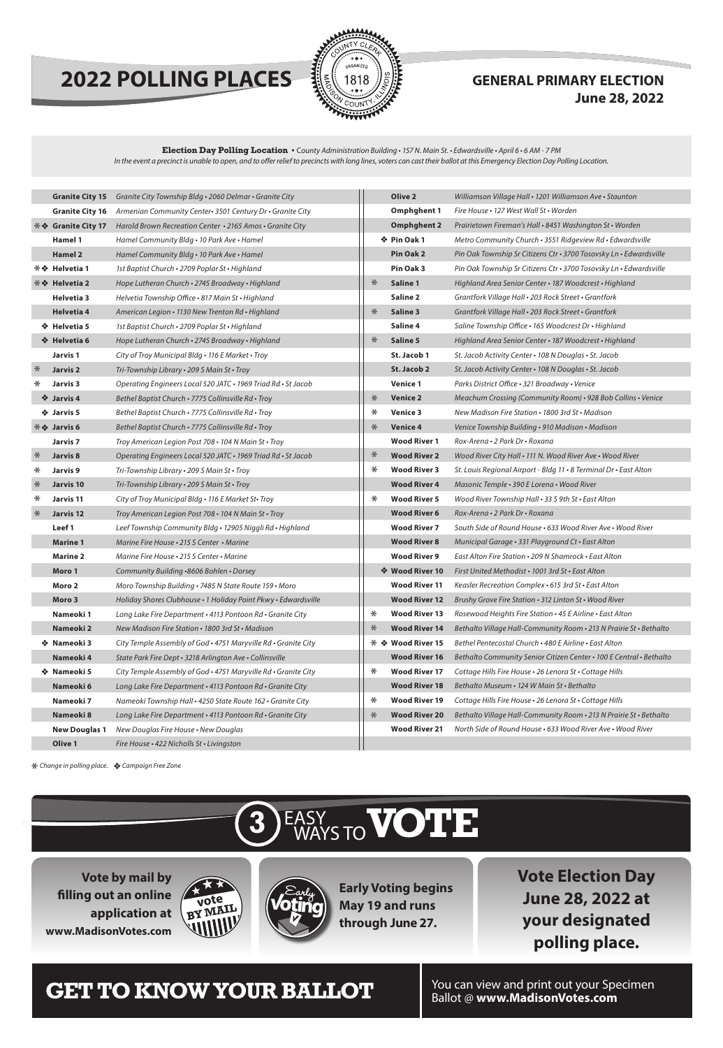# **2022 POLLING PLACES**  $\frac{2022}{3618}$  **GENERAL PRIMARY ELECTION**



# **June 28, 2022**

|        | <b>Granite City 15</b>                                            | Granite City Township Bldg . 2060 Delmar . Granite City        |        | Olive 2              | Williamson Village Hall · 1201 Williamson Ave · Staunton            |
|--------|-------------------------------------------------------------------|----------------------------------------------------------------|--------|----------------------|---------------------------------------------------------------------|
|        | <b>Granite City 16</b>                                            | Armenian Community Center 3501 Century Dr · Granite City       |        | <b>Omphghent 1</b>   | Fire House • 127 West Wall St • Worden                              |
|        | <b><math>\frac{1}{2}</math> <math>\div</math> Granite City 17</b> | Harold Brown Recreation Center . 2165 Amos . Granite City      |        | <b>Omphghent 2</b>   | Prairietown Fireman's Hall . 8451 Washington St . Worden            |
|        | Hamel 1                                                           | Hamel Community Bldg • 10 Park Ave • Hamel                     |        | ❖ Pin Oak 1          | Metro Community Church • 3551 Ridgeview Rd • Edwardsville           |
|        | <b>Hamel 2</b>                                                    | Hamel Community Bldg • 10 Park Ave • Hamel                     |        | Pin Oak 2            | Pin Oak Township Sr Citizens Ctr · 3700 Tosovsky Ln · Edwardsville  |
|        | * ❖ Helvetia 1                                                    | 1st Baptist Church • 2709 Poplar St • Highland                 |        | Pin Oak 3            | Pin Oak Township Sr Citizens Ctr • 3700 Tosovsky Ln • Edwardsville  |
|        | * → Helvetia 2                                                    | Hope Lutheran Church · 2745 Broadway · Highland                | $*$    | Saline 1             | Highland Area Senior Center · 187 Woodcrest · Highland              |
|        | Helvetia 3                                                        | Helvetia Township Office • 817 Main St • Highland              |        | Saline 2             | Grantfork Village Hall . 203 Rock Street . Grantfork                |
|        | <b>Helvetia 4</b>                                                 | American Legion • 1130 New Trenton Rd • Highland               | $*$    | Saline 3             | Grantfork Village Hall . 203 Rock Street . Grantfork                |
|        | ❖ Helvetia 5                                                      | 1st Baptist Church • 2709 Poplar St • Highland                 |        | Saline 4             | Saline Township Office • 165 Woodcrest Dr • Highland                |
|        | ☆ Helvetia 6                                                      | Hope Lutheran Church . 2745 Broadway . Highland                | $\ast$ | <b>Saline 5</b>      | Highland Area Senior Center · 187 Woodcrest · Highland              |
|        | Jarvis 1                                                          | City of Troy Municipal Bldg • 116 E Market • Troy              |        | St. Jacob 1          | St. Jacob Activity Center • 108 N Douglas • St. Jacob               |
| $*$    | <b>Jarvis 2</b>                                                   | Tri-Township Library . 209 S Main St . Troy                    |        | St. Jacob 2          | St. Jacob Activity Center • 108 N Douglas • St. Jacob               |
| ⋇      | Jarvis <sub>3</sub>                                               | Operating Engineers Local 520 JATC · 1969 Triad Rd · St Jacob  |        | <b>Venice 1</b>      | Parks District Office · 321 Broadway · Venice                       |
|        | ❖ Jarvis 4                                                        | Bethel Baptist Church • 7775 Collinsville Rd • Troy            | $\ast$ | <b>Venice 2</b>      | Meachum Crossing (Community Room) • 928 Bob Collins • Venice        |
|        | ❖ Jarvis 5                                                        | Bethel Baptist Church • 7775 Collinsville Rd • Troy            | ⋇      | <b>Venice 3</b>      | New Madison Fire Station • 1800 3rd St • Madison                    |
|        | <b><math>\frac{1}{2}</math> ❖ Jarvis 6</b>                        | Bethel Baptist Church · 7775 Collinsville Rd · Troy            | $\ast$ | <b>Venice 4</b>      | Venice Township Building • 910 Madison • Madison                    |
|        | Jarvis <sub>7</sub>                                               | Troy American Legion Post 708 • 104 N Main St • Troy           |        | <b>Wood River 1</b>  | Rox-Arena • 2 Park Dr • Roxana                                      |
| $*$    | Jarvis <sub>8</sub>                                               | Operating Engineers Local 520 JATC • 1969 Triad Rd • St Jacob  | $\ast$ | <b>Wood River 2</b>  | Wood River City Hall • 111 N. Wood River Ave • Wood River           |
| $\ast$ | Jarvis 9                                                          | Tri-Township Library • 209 S Main St • Troy                    | ⋇      | <b>Wood River 3</b>  | St. Louis Regional Airport - Bldg 11 . 8 Terminal Dr . East Alton   |
| $\ast$ | Jarvis 10                                                         | Tri-Township Library · 209 S Main St · Troy                    |        | <b>Wood River 4</b>  | Masonic Temple . 390 E Lorena . Wood River                          |
| $\ast$ | Jarvis 11                                                         | City of Troy Municipal Bldg • 116 E Market St• Troy            | ⋇      | <b>Wood River 5</b>  | Wood River Township Hall • 33 S 9th St • East Alton                 |
| $*$    | Jarvis 12                                                         | Troy American Legion Post 708 • 104 N Main St • Troy           |        | <b>Wood River 6</b>  | Rox-Arena . 2 Park Dr . Roxana                                      |
|        | Leef 1                                                            | Leef Township Community Bldg · 12905 Niggli Rd · Highland      |        | <b>Wood River 7</b>  | South Side of Round House • 633 Wood River Ave • Wood River         |
|        | <b>Marine 1</b>                                                   | Marine Fire House • 215 S Center • Marine                      |        | <b>Wood River 8</b>  | Municipal Garage • 331 Playground Ct • East Alton                   |
|        | <b>Marine 2</b>                                                   | Marine Fire House • 215 S Center • Marine                      |        | <b>Wood River 9</b>  | East Alton Fire Station • 209 N Shamrock • East Alton               |
|        | Moro 1                                                            | Community Building .8606 Bohlen . Dorsey                       |        | ❖ Wood River 10      | First United Methodist • 1001 3rd St • East Alton                   |
|        | Moro 2                                                            | Moro Township Building · 7485 N State Route 159 · Moro         |        | <b>Wood River 11</b> | Keasler Recreation Complex · 615 3rd St · East Alton                |
|        | Moro 3                                                            | Holiday Shores Clubhouse · 1 Holiday Point Pkwy · Edwardsville |        | <b>Wood River 12</b> | Brushy Grove Fire Station . 312 Linton St . Wood River              |
|        | Nameoki 1                                                         | Long Lake Fire Department . 4113 Pontoon Rd . Granite City     | $\ast$ | <b>Wood River 13</b> | Rosewood Heights Fire Station • 45 E Airline • East Alton           |
|        | Nameoki 2                                                         | New Madison Fire Station • 1800 3rd St • Madison               | ⋇      | <b>Wood River 14</b> | Bethalto Village Hall-Community Room · 213 N Prairie St · Bethalto  |
|        | ❖ Nameoki 3                                                       | City Temple Assembly of God • 4751 Maryville Rd • Granite City |        | * ❖ Wood River 15    | Bethel Pentecostal Church • 480 E Airline • East Alton              |
|        | Nameoki 4                                                         | State Park Fire Dept · 3218 Arlington Ave · Collinsville       |        | <b>Wood River 16</b> | Bethalto Community Senior Citizen Center · 100 E Central · Bethalto |
|        | ❖ Nameoki 5                                                       | City Temple Assembly of God · 4751 Maryville Rd · Granite City | $\ast$ | <b>Wood River 17</b> | Cottage Hills Fire House . 26 Lenora St . Cottage Hills             |
|        | Nameoki 6                                                         | Long Lake Fire Department . 4113 Pontoon Rd . Granite City     |        | <b>Wood River 18</b> | Bethalto Museum • 124 W Main St • Bethalto                          |
|        | Nameoki 7                                                         | Nameoki Township Hall . 4250 State Route 162 . Granite City    | $\ast$ | <b>Wood River 19</b> | Cottage Hills Fire House . 26 Lenora St . Cottage Hills             |
|        | Nameoki 8                                                         | Long Lake Fire Department . 4113 Pontoon Rd . Granite City     | $\ast$ | <b>Wood River 20</b> | Bethalto Village Hall-Community Room · 213 N Prairie St · Bethalto  |
|        | <b>New Douglas 1</b>                                              | New Douglas Fire House • New Douglas                           |        | <b>Wood River 21</b> | North Side of Round House · 633 Wood River Ave · Wood River         |
|        | Olive 1                                                           | Fire House . 422 Nicholls St . Livingston                      |        |                      |                                                                     |





**Vote by mail by filling out an online application at www.MadisonVotes.com**

**Early Voting begins May 19 and runs through June 27.**



**Vote Election Day June 28, 2022 at your designated polling place.**

# **CET TO KNOW YOUR BALLOT** You can view and print out your Specimen

### **Election Day Polling Location •** C*ounty Administration Building • 157 N. Main St. • Edwardsville • April 6 • 6 AM - 7 PM In the event a precinct is unable to open, and to offer relief to precincts with long lines, voters can cast their ballot at this Emergency Election Day Polling Location.*